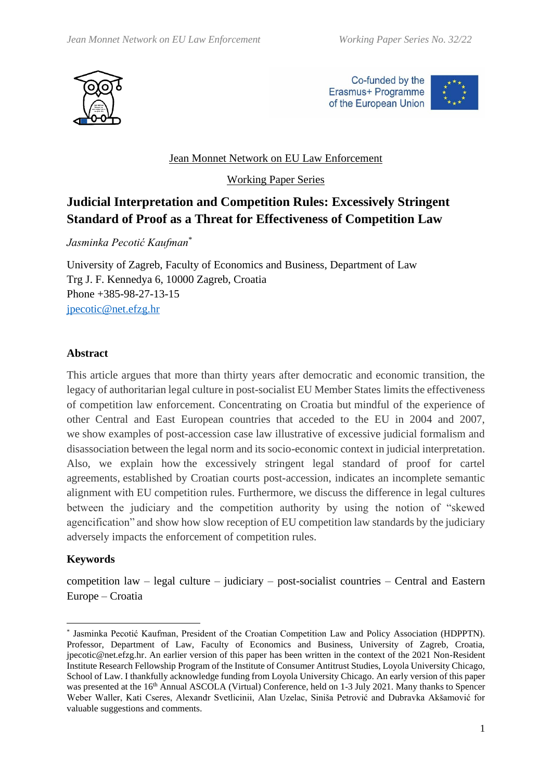

Co-funded by the Erasmus+ Programme of the European Union



# Jean Monnet Network on EU Law Enforcement

Working Paper Series

# **Judicial Interpretation and Competition Rules: Excessively Stringent Standard of Proof as a Threat for Effectiveness of Competition Law**

*Jasminka Pecotić Kaufman*\*

University of Zagreb, Faculty of Economics and Business, Department of Law Trg J. F. Kennedya 6, 10000 Zagreb, Croatia Phone +385-98-27-13-15 [jpecotic@net.efzg.hr](mailto:jpecotic@net.efzg.hr)

#### **Abstract**

This article argues that more than thirty years after democratic and economic transition, the legacy of authoritarian legal culture in post-socialist EU Member States limits the effectiveness of competition law enforcement. Concentrating on Croatia but mindful of the experience of other Central and East European countries that acceded to the EU in 2004 and 2007, we show examples of post-accession case law illustrative of excessive judicial formalism and disassociation between the legal norm and its socio-economic context in judicial interpretation. Also, we explain how the excessively stringent legal standard of proof for cartel agreements, established by Croatian courts post-accession, indicates an incomplete semantic alignment with EU competition rules. Furthermore, we discuss the difference in legal cultures between the judiciary and the competition authority by using the notion of "skewed agencification" and show how slow reception of EU competition law standards by the judiciary adversely impacts the enforcement of competition rules.

#### **Keywords**

competition law – legal culture – judiciary – post-socialist countries – Central and Eastern Europe – Croatia

<sup>\*</sup> Jasminka Pecotić Kaufman, President of the Croatian Competition Law and Policy Association (HDPPTN). Professor, Department of Law, Faculty of Economics and Business, University of Zagreb, Croatia, jpecotic@net.efzg.hr. An earlier version of this paper has been written in the context of the 2021 Non-Resident Institute Research Fellowship Program of the Institute of Consumer Antitrust Studies, Loyola University Chicago, School of Law. I thankfully acknowledge funding from Loyola University Chicago. An early version of this paper was presented at the 16<sup>th</sup> Annual ASCOLA (Virtual) Conference, held on 1-3 July 2021. Many thanks to Spencer Weber Waller, Kati Cseres, Alexandr Svetlicinii, Alan Uzelac, Siniša Petrović and Dubravka Akšamović for valuable suggestions and comments.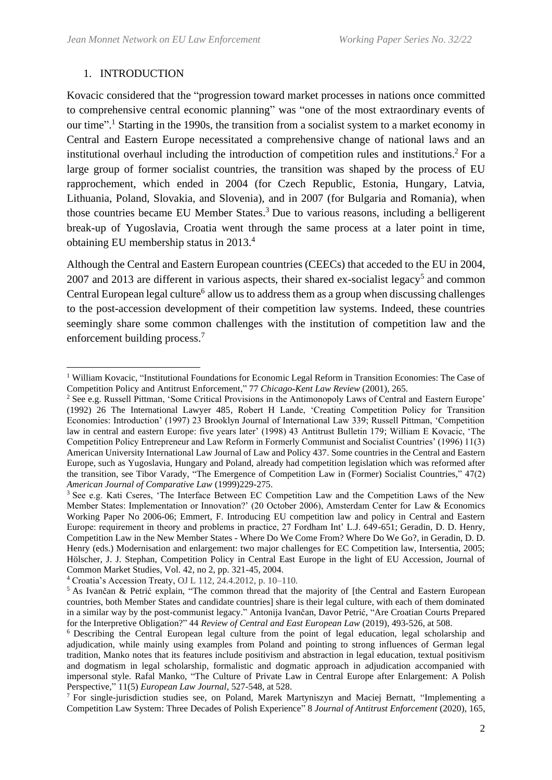# 1. INTRODUCTION

Kovacic considered that the "progression toward market processes in nations once committed to comprehensive central economic planning" was "one of the most extraordinary events of our time". <sup>1</sup> Starting in the 1990s, the transition from a socialist system to a market economy in Central and Eastern Europe necessitated a comprehensive change of national laws and an institutional overhaul including the introduction of competition rules and institutions. <sup>2</sup> For a large group of former socialist countries, the transition was shaped by the process of EU rapprochement, which ended in 2004 (for Czech Republic, Estonia, Hungary, Latvia, Lithuania, Poland, Slovakia, and Slovenia), and in 2007 (for Bulgaria and Romania), when those countries became EU Member States.<sup>3</sup> Due to various reasons, including a belligerent break-up of Yugoslavia, Croatia went through the same process at a later point in time, obtaining EU membership status in 2013.<sup>4</sup>

Although the Central and Eastern European countries (CEECs) that acceded to the EU in 2004,  $2007$  and  $2013$  are different in various aspects, their shared ex-socialist legacy<sup>5</sup> and common Central European legal culture<sup>6</sup> allow us to address them as a group when discussing challenges to the post-accession development of their competition law systems. Indeed, these countries seemingly share some common challenges with the institution of competition law and the enforcement building process.<sup>7</sup>

<sup>1</sup> William Kovacic, "Institutional Foundations for Economic Legal Reform in Transition Economies: The Case of Competition Policy and Antitrust Enforcement," 77 *Chicago-Kent Law Review* (2001), 265.

<sup>2</sup> See e.g. Russell Pittman, 'Some Critical Provisions in the Antimonopoly Laws of Central and Eastern Europe' (1992) 26 The International Lawyer 485, Robert H Lande, 'Creating Competition Policy for Transition Economies: Introduction' (1997) 23 Brooklyn Journal of International Law 339; Russell Pittman, 'Competition law in central and eastern Europe: five years later' (1998) 43 Antitrust Bulletin 179; William E Kovacic, 'The Competition Policy Entrepreneur and Law Reform in Formerly Communist and Socialist Countries' (1996) 11(3) American University International Law Journal of Law and Policy 437. Some countries in the Central and Eastern Europe, such as Yugoslavia, Hungary and Poland, already had competition legislation which was reformed after the transition, see Tibor Varady, "The Emergence of Competition Law in (Former) Socialist Countries," 47(2) *American Journal of Comparative Law* (1999)229-275.

<sup>&</sup>lt;sup>3</sup> See e.g. Kati Cseres, 'The Interface Between EC Competition Law and the Competition Laws of the New Member States: Implementation or Innovation?' (20 October 2006), Amsterdam Center for Law & Economics Working Paper No 2006-06; Emmert, F. Introducing EU competition law and policy in Central and Eastern Europe: requirement in theory and problems in practice, 27 Fordham Int' L.J. 649-651; Geradin, D. D. Henry, Competition Law in the New Member States - Where Do We Come From? Where Do We Go?, in Geradin, D. D. Henry (eds.) Modernisation and enlargement: two major challenges for EC Competition law, Intersentia, 2005; Hölscher, J. J. Stephan, Competition Policy in Central East Europe in the light of EU Accession, Journal of Common Market Studies, Vol. 42, no 2, pp. 321-45, 2004.

<sup>4</sup> Croatia's Accession Treaty, OJ L 112, 24.4.2012, p. 10–110*.*

<sup>5</sup> As Ivančan & Petrić explain, "The common thread that the majority of [the Central and Eastern European countries, both Member States and candidate countries] share is their legal culture, with each of them dominated in a similar way by the post-communist legacy." Antonija Ivančan, Davor Petrić, "Are Croatian Courts Prepared for the Interpretive Obligation?" 44 *Review of Central and East European Law* (2019), 493-526, at 508.

<sup>6</sup> Describing the Central European legal culture from the point of legal education, legal scholarship and adjudication, while mainly using examples from Poland and pointing to strong influences of German legal tradition, Manko notes that its features include positivism and abstraction in legal education, textual positivism and dogmatism in legal scholarship, formalistic and dogmatic approach in adjudication accompanied with impersonal style. Rafal Manko, "The Culture of Private Law in Central Europe after Enlargement: A Polish Perspective," 11(5) *European Law Journal*, 527-548, at 528.

<sup>&</sup>lt;sup>7</sup> For single-jurisdiction studies see, on Poland, Marek Martyniszyn and Maciej Bernatt, "Implementing a Competition Law System: Three Decades of Polish Experience" 8 *Journal of Antitrust Enforcement* (2020), 165,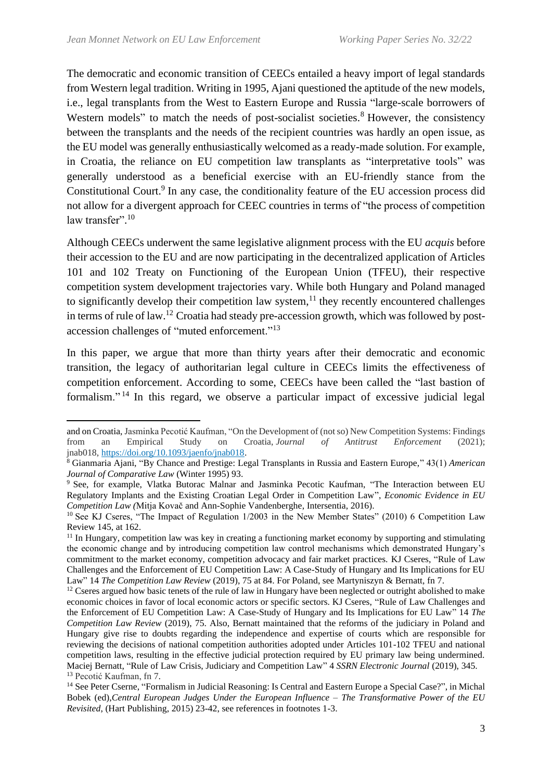The democratic and economic transition of CEECs entailed a heavy import of legal standards from Western legal tradition. Writing in 1995, Ajani questioned the aptitude of the new models, i.e., legal transplants from the West to Eastern Europe and Russia "large-scale borrowers of Western models" to match the needs of post-socialist societies.<sup>8</sup> However, the consistency between the transplants and the needs of the recipient countries was hardly an open issue, as the EU model was generally enthusiastically welcomed as a ready-made solution. For example, in Croatia, the reliance on EU competition law transplants as "interpretative tools" was generally understood as a beneficial exercise with an EU-friendly stance from the Constitutional Court.<sup>9</sup> In any case, the conditionality feature of the EU accession process did not allow for a divergent approach for CEEC countries in terms of "the process of competition law transfer".<sup>10</sup>

Although CEECs underwent the same legislative alignment process with the EU *acquis* before their accession to the EU and are now participating in the decentralized application of Articles 101 and 102 Treaty on Functioning of the European Union (TFEU), their respective competition system development trajectories vary. While both Hungary and Poland managed to significantly develop their competition law system, $<sup>11</sup>$  they recently encountered challenges</sup> in terms of rule of law.<sup>12</sup> Croatia had steady pre-accession growth, which was followed by postaccession challenges of "muted enforcement."<sup>13</sup>

In this paper, we argue that more than thirty years after their democratic and economic transition, the legacy of authoritarian legal culture in CEECs limits the effectiveness of competition enforcement. According to some, CEECs have been called the "last bastion of formalism." <sup>14</sup> In this regard, we observe a particular impact of excessive judicial legal

and on Croatia, Jasminka Pecotić Kaufman, "On the Development of (not so) New Competition Systems: Findings from an Empirical Study on Croatia, *Journal of Antitrust Enforcement* (2021); jnab018, [https://doi.org/10.1093/jaenfo/jnab018.](https://doi.org/10.1093/jaenfo/jnab018)

<sup>8</sup> Gianmaria Ajani, "By Chance and Prestige: Legal Transplants in Russia and Eastern Europe," 43(1) *American Journal of Comparative Law* (Winter 1995) 93.

<sup>&</sup>lt;sup>9</sup> See, for example, Vlatka Butorac Malnar and Jasminka Pecotic Kaufman, "The Interaction between EU Regulatory Implants and the Existing Croatian Legal Order in Competition Law", *Economic Evidence in EU Competition Law (*Mitja Kovač and Ann-Sophie Vandenberghe, Intersentia, 2016).

<sup>&</sup>lt;sup>10</sup> See KJ Cseres, "The Impact of Regulation 1/2003 in the New Member States" (2010) 6 Competition Law Review 145, at 162.

<sup>&</sup>lt;sup>11</sup> In Hungary, competition law was key in creating a functioning market economy by supporting and stimulating the economic change and by introducing competition law control mechanisms which demonstrated Hungary's commitment to the market economy, competition advocacy and fair market practices. KJ Cseres, "Rule of Law" Challenges and the Enforcement of EU Competition Law: A Case-Study of Hungary and Its Implications for EU Law" 14 *The Competition Law Review* (2019), 75 at 84. For Poland, see Martyniszyn & Bernatt, fn 7.

<sup>&</sup>lt;sup>12</sup> Cseres argued how basic tenets of the rule of law in Hungary have been neglected or outright abolished to make economic choices in favor of local economic actors or specific sectors. KJ Cseres, "Rule of Law Challenges and the Enforcement of EU Competition Law: A Case-Study of Hungary and Its Implications for EU Law" 14 *The Competition Law Review* (2019), 75. Also, Bernatt maintained that the reforms of the judiciary in Poland and Hungary give rise to doubts regarding the independence and expertise of courts which are responsible for reviewing the decisions of national competition authorities adopted under Articles 101-102 TFEU and national competition laws, resulting in the effective judicial protection required by EU primary law being undermined. Maciej Bernatt, "Rule of Law Crisis, Judiciary and Competition Law" 4 *SSRN Electronic Journal* (2019), 345. <sup>13</sup> Pecotić Kaufman, fn 7.

<sup>&</sup>lt;sup>14</sup> See Peter Cserne, "Formalism in Judicial Reasoning: Is Central and Eastern Europe a Special Case?", in Michal Bobek (ed),*Central European Judges Under the European Influence – The Transformative Power of the EU Revisited*, (Hart Publishing, 2015) 23-42, see references in footnotes 1-3.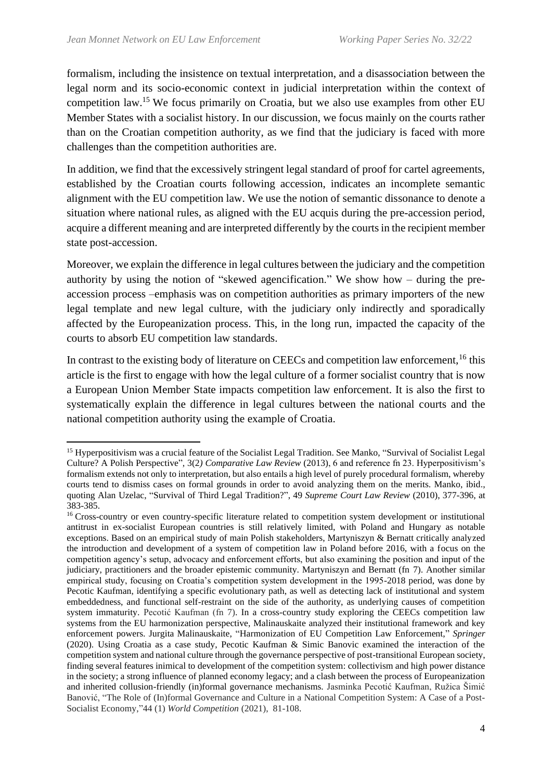formalism, including the insistence on textual interpretation, and a disassociation between the legal norm and its socio-economic context in judicial interpretation within the context of competition law. <sup>15</sup> We focus primarily on Croatia, but we also use examples from other EU Member States with a socialist history. In our discussion, we focus mainly on the courts rather than on the Croatian competition authority, as we find that the judiciary is faced with more challenges than the competition authorities are.

In addition, we find that the excessively stringent legal standard of proof for cartel agreements, established by the Croatian courts following accession, indicates an incomplete semantic alignment with the EU competition law. We use the notion of semantic dissonance to denote a situation where national rules, as aligned with the EU acquis during the pre-accession period, acquire a different meaning and are interpreted differently by the courts in the recipient member state post-accession.

Moreover, we explain the difference in legal cultures between the judiciary and the competition authority by using the notion of "skewed agencification." We show how – during the preaccession process –emphasis was on competition authorities as primary importers of the new legal template and new legal culture, with the judiciary only indirectly and sporadically affected by the Europeanization process. This, in the long run, impacted the capacity of the courts to absorb EU competition law standards.

In contrast to the existing body of literature on CEECs and competition law enforcement,  $16$  this article is the first to engage with how the legal culture of a former socialist country that is now a European Union Member State impacts competition law enforcement. It is also the first to systematically explain the difference in legal cultures between the national courts and the national competition authority using the example of Croatia.

<sup>15</sup> Hyperpositivism was a crucial feature of the Socialist Legal Tradition. See Manko, "Survival of Socialist Legal Culture? A Polish Perspective", 3(2*) Comparative Law Review* (2013), 6 and reference fn 23. Hyperpositivism's formalism extends not only to interpretation, but also entails a high level of purely procedural formalism, whereby courts tend to dismiss cases on formal grounds in order to avoid analyzing them on the merits. Manko, ibid., quoting Alan Uzelac, "Survival of Third Legal Tradition?", 49 *Supreme Court Law Review* (2010), 377-396, at 383-385.

<sup>&</sup>lt;sup>16</sup> Cross-country or even country-specific literature related to competition system development or institutional antitrust in ex-socialist European countries is still relatively limited, with Poland and Hungary as notable exceptions. Based on an empirical study of main Polish stakeholders, Martyniszyn & Bernatt critically analyzed the introduction and development of a system of competition law in Poland before 2016, with a focus on the competition agency's setup, advocacy and enforcement efforts, but also examining the position and input of the judiciary, practitioners and the broader epistemic community. Martyniszyn and Bernatt (fn 7). Another similar empirical study, focusing on Croatia's competition system development in the 1995-2018 period, was done by Pecotic Kaufman, identifying a specific evolutionary path, as well as detecting lack of institutional and system embeddedness, and functional self-restraint on the side of the authority, as underlying causes of competition system immaturity. Pecotić Kaufman (fn 7). In a cross-country study exploring the CEECs competition law systems from the EU harmonization perspective, Malinauskaite analyzed their institutional framework and key enforcement powers. Jurgita Malinauskaite, "Harmonization of EU Competition Law Enforcement," *Springer* (2020). Using Croatia as a case study, Pecotic Kaufman & Simic Banovic examined the interaction of the competition system and national culture through the governance perspective of post-transitional European society, finding several features inimical to development of the competition system: collectivism and high power distance in the society; a strong influence of planned economy legacy; and a clash between the process of Europeanization and inherited collusion-friendly (in)formal governance mechanisms. Jasminka Pecotić Kaufman, Ružica Šimić Banović, "The Role of (In)formal Governance and Culture in a National Competition System: A Case of a Post-Socialist Economy,"44 (1) *World Competition* (2021), 81-108.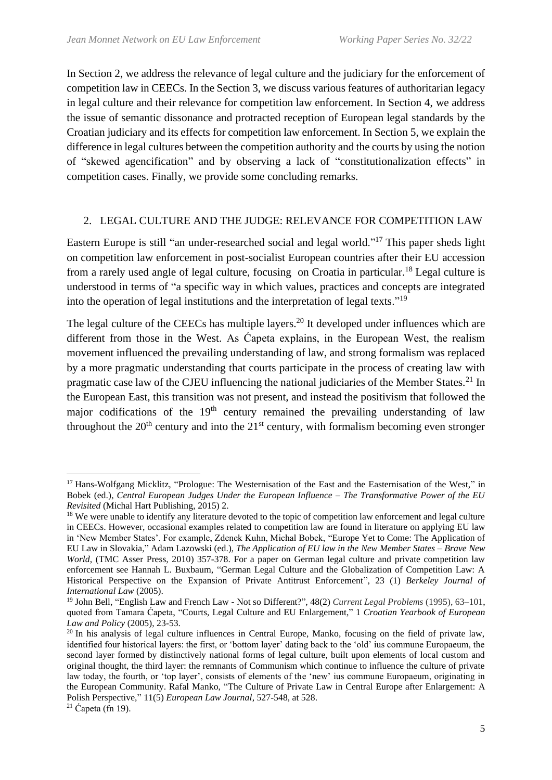In Section 2, we address the relevance of legal culture and the judiciary for the enforcement of competition law in CEECs. In the Section 3, we discuss various features of authoritarian legacy in legal culture and their relevance for competition law enforcement. In Section 4, we address the issue of semantic dissonance and protracted reception of European legal standards by the Croatian judiciary and its effects for competition law enforcement. In Section 5, we explain the difference in legal cultures between the competition authority and the courts by using the notion of "skewed agencification" and by observing a lack of "constitutionalization effects" in competition cases. Finally, we provide some concluding remarks.

# 2. LEGAL CULTURE AND THE JUDGE: RELEVANCE FOR COMPETITION LAW

Eastern Europe is still "an under-researched social and legal world."<sup>17</sup> This paper sheds light on competition law enforcement in post-socialist European countries after their EU accession from a rarely used angle of legal culture, focusing on Croatia in particular.<sup>18</sup> Legal culture is understood in terms of "a specific way in which values, practices and concepts are integrated into the operation of legal institutions and the interpretation of legal texts."<sup>19</sup>

The legal culture of the CEECs has multiple layers.<sup>20</sup> It developed under influences which are different from those in the West. As Ćapeta explains, in the European West, the realism movement influenced the prevailing understanding of law, and strong formalism was replaced by a more pragmatic understanding that courts participate in the process of creating law with pragmatic case law of the CJEU influencing the national judiciaries of the Member States.<sup>21</sup> In the European East, this transition was not present, and instead the positivism that followed the major codifications of the  $19<sup>th</sup>$  century remained the prevailing understanding of law throughout the  $20<sup>th</sup>$  century and into the  $21<sup>st</sup>$  century, with formalism becoming even stronger

<sup>&</sup>lt;sup>17</sup> Hans-Wolfgang Micklitz, "Prologue: The Westernisation of the East and the Easternisation of the West," in Bobek (ed.), *Central European Judges Under the European Influence – The Transformative Power of the EU Revisited* (Michal Hart Publishing, 2015) 2.

<sup>&</sup>lt;sup>18</sup> We were unable to identify any literature devoted to the topic of competition law enforcement and legal culture in CEECs. However, occasional examples related to competition law are found in literature on applying EU law in 'New Member States'. For example, Zdenek Kuhn, Michal Bobek, "Europe Yet to Come: The Application of EU Law in Slovakia," Adam Lazowski (ed.), *The Application of EU law in the New Member States – Brave New World*, (TMC Asser Press, 2010) 357-378. For a paper on German legal culture and private competition law enforcement see Hannah L. Buxbaum, "German Legal Culture and the Globalization of Competition Law: A Historical Perspective on the Expansion of Private Antitrust Enforcement", 23 (1) *Berkeley Journal of International Law* (2005).

<sup>19</sup> John Bell, "English Law and French Law - Not so Different?", 48(2) *Current Legal Problems* (1995), 63–101, quoted from Tamara Ćapeta, "Courts, Legal Culture and EU Enlargement," 1 *Croatian Yearbook of European Law and Policy* (2005), 23-53.

<sup>&</sup>lt;sup>20</sup> In his analysis of legal culture influences in Central Europe, Manko, focusing on the field of private law, identified four historical layers: the first, or 'bottom layer' dating back to the 'old' ius commune Europaeum, the second layer formed by distinctively national forms of legal culture, built upon elements of local custom and original thought, the third layer: the remnants of Communism which continue to influence the culture of private law today, the fourth, or 'top layer', consists of elements of the 'new' ius commune Europaeum, originating in the European Community. Rafal Manko, "The Culture of Private Law in Central Europe after Enlargement: A Polish Perspective," 11(5) *European Law Journal*, 527-548, at 528.  $21 \text{ Čapeta (fn 19)}$ .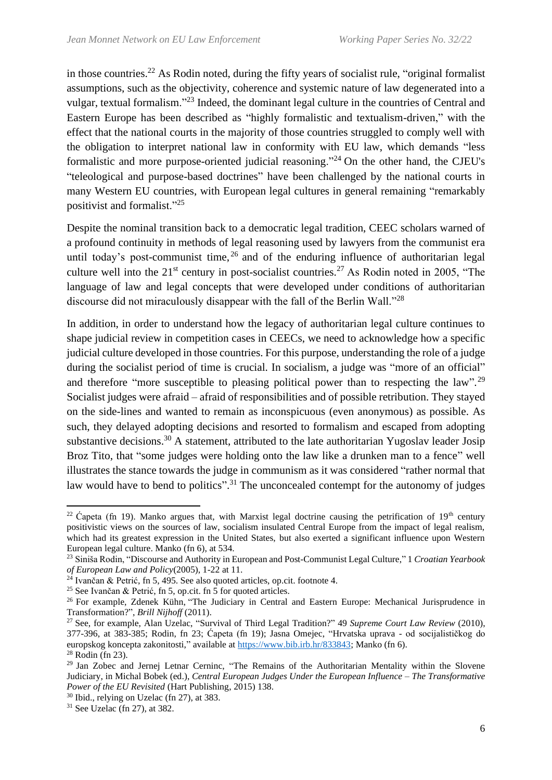in those countries.<sup>22</sup> As Rodin noted, during the fifty years of socialist rule, "original formalist" assumptions, such as the objectivity, coherence and systemic nature of law degenerated into a vulgar, textual formalism."<sup>23</sup> Indeed, the dominant legal culture in the countries of Central and Eastern Europe has been described as "highly formalistic and textualism-driven," with the effect that the national courts in the majority of those countries struggled to comply well with the obligation to interpret national law in conformity with EU law, which demands "less formalistic and more purpose-oriented judicial reasoning."<sup>24</sup> On the other hand, the CJEU's "teleological and purpose-based doctrines" have been challenged by the national courts in many Western EU countries, with European legal cultures in general remaining "remarkably positivist and formalist."<sup>25</sup>

Despite the nominal transition back to a democratic legal tradition, CEEC scholars warned of a profound continuity in methods of legal reasoning used by lawyers from the communist era until today's post-communist time,  $^{26}$  and of the enduring influence of authoritarian legal culture well into the  $21<sup>st</sup>$  century in post-socialist countries.<sup>27</sup> As Rodin noted in 2005, "The language of law and legal concepts that were developed under conditions of authoritarian discourse did not miraculously disappear with the fall of the Berlin Wall."<sup>28</sup>

In addition, in order to understand how the legacy of authoritarian legal culture continues to shape judicial review in competition cases in CEECs, we need to acknowledge how a specific judicial culture developed in those countries. For this purpose, understanding the role of a judge during the socialist period of time is crucial. In socialism, a judge was "more of an official" and therefore "more susceptible to pleasing political power than to respecting the law".<sup>29</sup> Socialist judges were afraid – afraid of responsibilities and of possible retribution. They stayed on the side-lines and wanted to remain as inconspicuous (even anonymous) as possible. As such, they delayed adopting decisions and resorted to formalism and escaped from adopting substantive decisions.<sup>30</sup> A statement, attributed to the late authoritarian Yugoslav leader Josip Broz Tito, that "some judges were holding onto the law like a drunken man to a fence" well illustrates the stance towards the judge in communism as it was considered "rather normal that law would have to bend to politics".<sup>31</sup> The unconcealed contempt for the autonomy of judges

<sup>&</sup>lt;sup>22</sup> Capeta (fn 19). Manko argues that, with Marxist legal doctrine causing the petrification of 19<sup>th</sup> century positivistic views on the sources of law, socialism insulated Central Europe from the impact of legal realism, which had its greatest expression in the United States, but also exerted a significant influence upon Western European legal culture. Manko (fn 6), at 534.

<sup>23</sup> Siniša Rodin, "Discourse and Authority in European and Post-Communist Legal Culture," 1 *Croatian Yearbook of European Law and Policy*(2005), 1-22 at 11.

 $^{24}$  Ivančan & Petrić, fn 5, 495. See also quoted articles, op.cit. footnote 4.

<sup>25</sup> See Ivančan & Petrić, fn 5, op.cit. fn 5 for quoted articles.

<sup>&</sup>lt;sup>26</sup> For example, Zdenek Kühn, "The Judiciary in Central and Eastern Europe: Mechanical Jurisprudence in Transformation?", *Brill Nijhoff* (2011).

<sup>27</sup> See, for example, Alan Uzelac, "Survival of Third Legal Tradition?" 49 *Supreme Court Law Review* (2010), 377-396, at 383-385; Rodin, fn 23; Ćapeta (fn 19); Jasna Omejec, "Hrvatska uprava - od socijalističkog do europskog koncepta zakonitosti," available at [https://www.bib.irb.hr/833843;](https://www.bib.irb.hr/833843) Manko (fn 6).

<sup>28</sup> Rodin (fn 23).

<sup>&</sup>lt;sup>29</sup> Jan Zobec and Jernei Letnar Cerninc, "The Remains of the Authoritarian Mentality within the Slovene Judiciary, in Michal Bobek (ed.), *Central European Judges Under the European Influence – The Transformative Power of the EU Revisited* (Hart Publishing, 2015) 138.

 $30$  Ibid., relying on Uzelac (fn 27), at 383.

 $31$  See Uzelac (fn 27), at 382.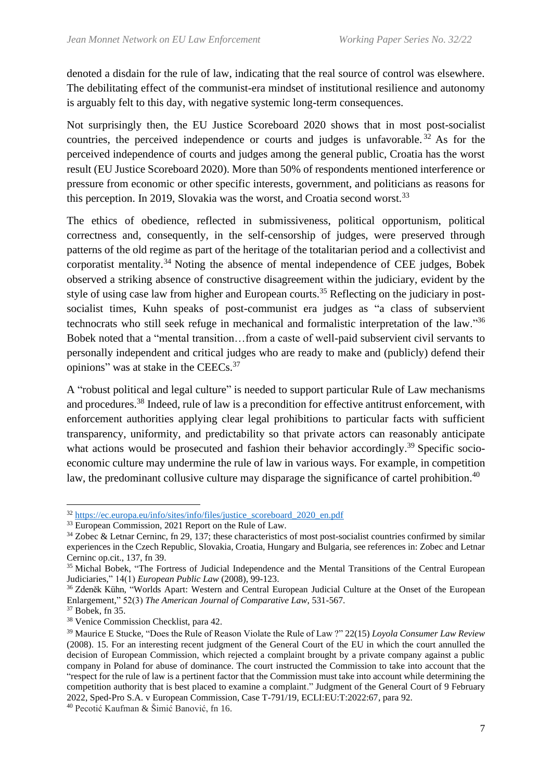denoted a disdain for the rule of law, indicating that the real source of control was elsewhere. The debilitating effect of the communist-era mindset of institutional resilience and autonomy is arguably felt to this day, with negative systemic long-term consequences.

Not surprisingly then, the EU Justice Scoreboard 2020 shows that in most post-socialist countries, the perceived independence or courts and judges is unfavorable.<sup>32</sup> As for the perceived independence of courts and judges among the general public, Croatia has the worst result (EU Justice Scoreboard 2020). More than 50% of respondents mentioned interference or pressure from economic or other specific interests, government, and politicians as reasons for this perception. In 2019, Slovakia was the worst, and Croatia second worst.<sup>33</sup>

The ethics of obedience, reflected in submissiveness, political opportunism, political correctness and, consequently, in the self-censorship of judges, were preserved through patterns of the old regime as part of the heritage of the totalitarian period and a collectivist and corporatist mentality.<sup>34</sup> Noting the absence of mental independence of CEE judges, Bobek observed a striking absence of constructive disagreement within the judiciary, evident by the style of using case law from higher and European courts.<sup>35</sup> Reflecting on the judiciary in postsocialist times, Kuhn speaks of post-communist era judges as "a class of subservient technocrats who still seek refuge in mechanical and formalistic interpretation of the law."<sup>36</sup> Bobek noted that a "mental transition…from a caste of well-paid subservient civil servants to personally independent and critical judges who are ready to make and (publicly) defend their opinions" was at stake in the CEECs.<sup>37</sup>

A "robust political and legal culture" is needed to support particular Rule of Law mechanisms and procedures.<sup>38</sup> Indeed, rule of law is a precondition for effective antitrust enforcement, with enforcement authorities applying clear legal prohibitions to particular facts with sufficient transparency, uniformity, and predictability so that private actors can reasonably anticipate what actions would be prosecuted and fashion their behavior accordingly.<sup>39</sup> Specific socioeconomic culture may undermine the rule of law in various ways. For example, in competition law, the predominant collusive culture may disparage the significance of cartel prohibition.<sup>40</sup>

<sup>32</sup> [https://ec.europa.eu/info/sites/info/files/justice\\_scoreboard\\_2020\\_en.pdf](https://ec.europa.eu/info/sites/info/files/justice_scoreboard_2020_en.pdf)

<sup>&</sup>lt;sup>33</sup> European Commission, 2021 Report on the Rule of Law.

 $34$  Zobec & Letnar Cerninc, fn 29, 137; these characteristics of most post-socialist countries confirmed by similar experiences in the Czech Republic, Slovakia, Croatia, Hungary and Bulgaria, see references in: Zobec and Letnar Cerninc op.cit., 137, fn 39.

<sup>&</sup>lt;sup>35</sup> Michal Bobek, "The Fortress of Judicial Independence and the Mental Transitions of the Central European Judiciaries," 14(1) *European Public Law* (2008), 99-123.

<sup>36</sup> Zdeněk Kühn, "Worlds Apart: Western and Central European Judicial Culture at the Onset of the European Enlargement," 52(3) *The American Journal of Comparative Law*, 531-567.

<sup>37</sup> Bobek, fn 35.

<sup>38</sup> Venice Commission Checklist, para 42.

<sup>39</sup> Maurice E Stucke, "Does the Rule of Reason Violate the Rule of Law ?" 22(15) *Loyola Consumer Law Review* (2008). 15. For an interesting recent judgment of the General Court of the EU in which the court annulled the decision of European Commission, which rejected a complaint brought by a private company against a public company in Poland for abuse of dominance. The court instructed the Commission to take into account that the "respect for the rule of law is a pertinent factor that the Commission must take into account while determining the competition authority that is best placed to examine a complaint." Judgment of the General Court of 9 February 2022, Sped-Pro S.A. v European Commission, Case T-791/19, ECLI:EU:T:2022:67, para 92.

<sup>40</sup> Pecotić Kaufman & Šimić Banović, fn 16.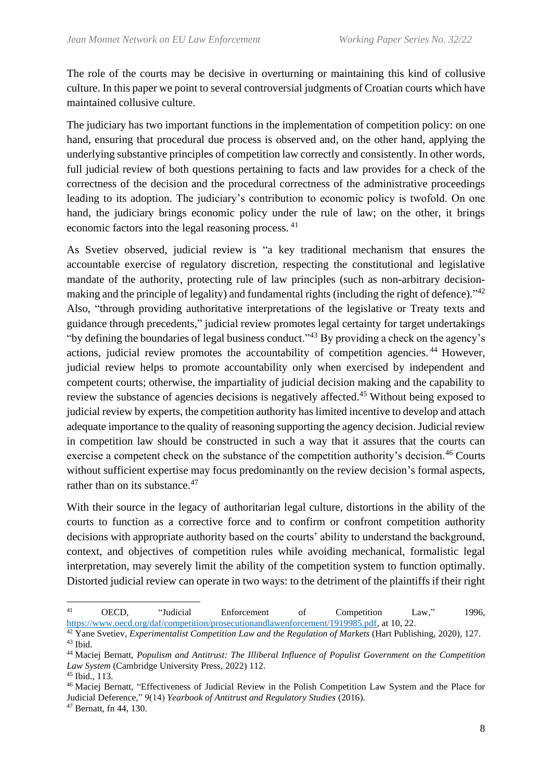The role of the courts may be decisive in overturning or maintaining this kind of collusive culture. In this paper we point to several controversial judgments of Croatian courts which have maintained collusive culture.

The judiciary has two important functions in the implementation of competition policy: on one hand, ensuring that procedural due process is observed and, on the other hand, applying the underlying substantive principles of competition law correctly and consistently. In other words, full judicial review of both questions pertaining to facts and law provides for a check of the correctness of the decision and the procedural correctness of the administrative proceedings leading to its adoption. The judiciary's contribution to economic policy is twofold. On one hand, the judiciary brings economic policy under the rule of law; on the other, it brings economic factors into the legal reasoning process. <sup>41</sup>

As Svetiev observed, judicial review is "a key traditional mechanism that ensures the accountable exercise of regulatory discretion, respecting the constitutional and legislative mandate of the authority, protecting rule of law principles (such as non-arbitrary decisionmaking and the principle of legality) and fundamental rights (including the right of defence)."<sup>42</sup> Also, "through providing authoritative interpretations of the legislative or Treaty texts and guidance through precedents," judicial review promotes legal certainty for target undertakings "by defining the boundaries of legal business conduct."<sup>43</sup> By providing a check on the agency's actions, judicial review promotes the accountability of competition agencies. <sup>44</sup> However, judicial review helps to promote accountability only when exercised by independent and competent courts; otherwise, the impartiality of judicial decision making and the capability to review the substance of agencies decisions is negatively affected.<sup>45</sup> Without being exposed to judicial review by experts, the competition authority has limited incentive to develop and attach adequate importance to the quality of reasoning supporting the agency decision. Judicial review in competition law should be constructed in such a way that it assures that the courts can exercise a competent check on the substance of the competition authority's decision.<sup>46</sup> Courts without sufficient expertise may focus predominantly on the review decision's formal aspects. rather than on its substance.<sup>47</sup>

With their source in the legacy of authoritarian legal culture, distortions in the ability of the courts to function as a corrective force and to confirm or confront competition authority decisions with appropriate authority based on the courts' ability to understand the background, context, and objectives of competition rules while avoiding mechanical, formalistic legal interpretation, may severely limit the ability of the competition system to function optimally. Distorted judicial review can operate in two ways: to the detriment of the plaintiffs if their right

<sup>41</sup> OECD, "Judicial Enforcement of Competition Law," 1996, [https://www.oecd.org/daf/competition/prosecutionandlawenforcement/1919985.pdf,](https://www.oecd.org/daf/competition/prosecutionandlawenforcement/1919985.pdf) at 10, 22.

<sup>&</sup>lt;sup>42</sup> Yane Svetiev, *Experimentalist Competition Law and the Regulation of Markets* (Hart Publishing, 2020), 127. <sup>43</sup> Ibid.

<sup>44</sup> Maciej Bernatt, *Populism and Antitrust: The Illiberal Influence of Populist Government on the Competition Law System* (Cambridge University Press, 2022) 112.

<sup>45</sup> Ibid., 113.

<sup>46</sup> Maciej Bernatt, "Effectiveness of Judicial Review in the Polish Competition Law System and the Place for Judicial Deference," 9(14) *Yearbook of Antitrust and Regulatory Studies* (2016).

<sup>47</sup> Bernatt, fn 44, 130.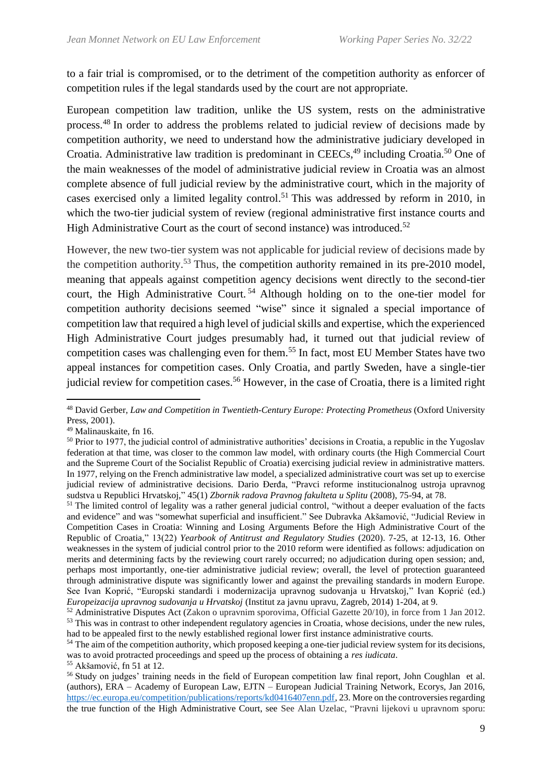to a fair trial is compromised, or to the detriment of the competition authority as enforcer of competition rules if the legal standards used by the court are not appropriate.

European competition law tradition, unlike the US system, rests on the administrative process.<sup>48</sup> In order to address the problems related to judicial review of decisions made by competition authority, we need to understand how the administrative judiciary developed in Croatia. Administrative law tradition is predominant in CEECs,<sup>49</sup> including Croatia.<sup>50</sup> One of the main weaknesses of the model of administrative judicial review in Croatia was an almost complete absence of full judicial review by the administrative court, which in the majority of cases exercised only a limited legality control. <sup>51</sup> This was addressed by reform in 2010, in which the two-tier judicial system of review (regional administrative first instance courts and High Administrative Court as the court of second instance) was introduced.<sup>52</sup>

However, the new two-tier system was not applicable for judicial review of decisions made by the competition authority.<sup>53</sup> Thus, the competition authority remained in its pre-2010 model. meaning that appeals against competition agency decisions went directly to the second-tier court, the High Administrative Court. <sup>54</sup> Although holding on to the one-tier model for competition authority decisions seemed "wise" since it signaled a special importance of competition law that required a high level of judicial skills and expertise, which the experienced High Administrative Court judges presumably had, it turned out that judicial review of competition cases was challenging even for them.<sup>55</sup> In fact, most EU Member States have two appeal instances for competition cases. Only Croatia, and partly Sweden, have a single-tier judicial review for competition cases.<sup>56</sup> However, in the case of Croatia, there is a limited right

<sup>48</sup> David Gerber, *Law and Competition in Twentieth-Century Europe: Protecting Prometheus* (Oxford University Press, 2001).

<sup>49</sup> Malinauskaite, fn 16.

 $50$  Prior to 1977, the judicial control of administrative authorities' decisions in Croatia, a republic in the Yugoslav federation at that time, was closer to the common law model, with ordinary courts (the High Commercial Court and the Supreme Court of the Socialist Republic of Croatia) exercising judicial review in administrative matters. In 1977, relying on the French administrative law model, a specialized administrative court was set up to exercise judicial review of administrative decisions. Dario Đerđa, "Pravci reforme institucionalnog ustroja upravnog sudstva u Republici Hrvatskoj," 45(1) *Zbornik radova Pravnog fakulteta u Splitu* (2008), 75-94, at 78.

<sup>&</sup>lt;sup>51</sup> The limited control of legality was a rather general judicial control, "without a deeper evaluation of the facts and evidence" and was "somewhat superficial and insufficient." See Dubravka Akšamović, "Judicial Review in Competition Cases in Croatia: Winning and Losing Arguments Before the High Administrative Court of the Republic of Croatia," 13(22) *Yearbook of Antitrust and Regulatory Studies* (2020). 7-25, at 12-13, 16. Other weaknesses in the system of judicial control prior to the 2010 reform were identified as follows: adjudication on merits and determining facts by the reviewing court rarely occurred; no adjudication during open session; and, perhaps most importantly, one-tier administrative judicial review; overall, the level of protection guaranteed through administrative dispute was significantly lower and against the prevailing standards in modern Europe. See Ivan Koprić, "Europski standardi i modernizacija upravnog sudovanja u Hrvatskoj," Ivan Koprić (ed.) *Europeizacija upravnog sudovanja u Hrvatskoj* (Institut za javnu upravu, Zagreb, 2014) 1-204, at 9.

<sup>52</sup> Administrative Disputes Act (Zakon o upravnim sporovima, Official Gazette 20/10), in force from 1 Jan 2012. <sup>53</sup> This was in contrast to other independent regulatory agencies in Croatia, whose decisions, under the new rules, had to be appealed first to the newly established regional lower first instance administrative courts.

<sup>&</sup>lt;sup>54</sup> The aim of the competition authority, which proposed keeping a one-tier judicial review system for its decisions, was to avoid protracted proceedings and speed up the process of obtaining a *res iudicata*.

<sup>55</sup> Akšamović, fn 51 at 12.

<sup>56</sup> Study on judges' training needs in the field of European competition law final report, John Coughlan et al. (authors), ERA – Academy of European Law, EJTN – European Judicial Training Network, Ecorys, Jan 2016, [https://ec.europa.eu/competition/publications/reports/kd0416407enn.pdf,](https://ec.europa.eu/competition/publications/reports/kd0416407enn.pdf) 23. More on the controversies regarding the true function of the High Administrative Court, see See Alan Uzelac, "Pravni lijekovi u upravnom sporu: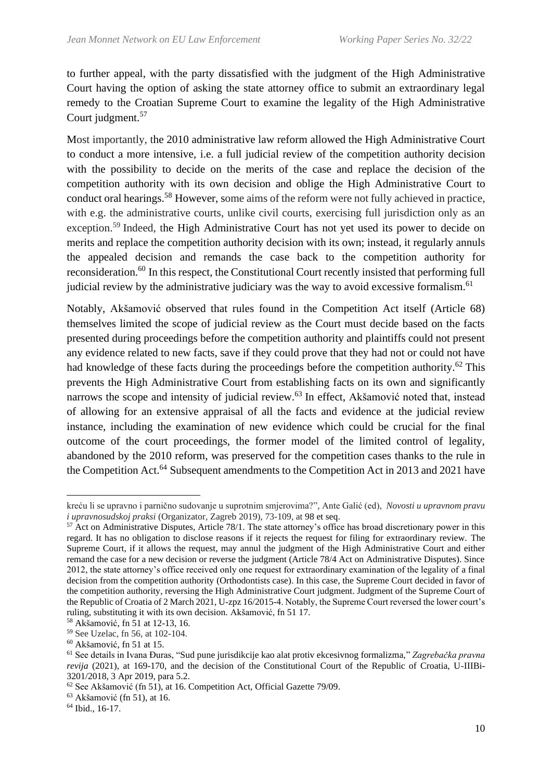to further appeal, with the party dissatisfied with the judgment of the High Administrative Court having the option of asking the state attorney office to submit an extraordinary legal remedy to the Croatian Supreme Court to examine the legality of the High Administrative Court judgment. 57

Most importantly, the 2010 administrative law reform allowed the High Administrative Court to conduct a more intensive, i.e. a full judicial review of the competition authority decision with the possibility to decide on the merits of the case and replace the decision of the competition authority with its own decision and oblige the High Administrative Court to conduct oral hearings.<sup>58</sup> However, some aims of the reform were not fully achieved in practice, with e.g. the administrative courts, unlike civil courts, exercising full jurisdiction only as an exception.<sup>59</sup> Indeed, the High Administrative Court has not yet used its power to decide on merits and replace the competition authority decision with its own; instead, it regularly annuls the appealed decision and remands the case back to the competition authority for reconsideration.<sup>60</sup> In this respect, the Constitutional Court recently insisted that performing full judicial review by the administrative judiciary was the way to avoid excessive formalism.<sup>61</sup>

Notably, Akšamović observed that rules found in the Competition Act itself (Article 68) themselves limited the scope of judicial review as the Court must decide based on the facts presented during proceedings before the competition authority and plaintiffs could not present any evidence related to new facts, save if they could prove that they had not or could not have had knowledge of these facts during the proceedings before the competition authority.<sup>62</sup> This prevents the High Administrative Court from establishing facts on its own and significantly narrows the scope and intensity of judicial review.<sup>63</sup> In effect, Akšamović noted that, instead of allowing for an extensive appraisal of all the facts and evidence at the judicial review instance, including the examination of new evidence which could be crucial for the final outcome of the court proceedings, the former model of the limited control of legality, abandoned by the 2010 reform, was preserved for the competition cases thanks to the rule in the Competition Act.<sup>64</sup> Subsequent amendments to the Competition Act in 2013 and 2021 have

kreću li se upravno i parnično sudovanje u suprotnim smjerovima?", Ante Galić (ed), *Novosti u upravnom pravu i upravnosudskoj praksi* (Organizator, Zagreb 2019), 73-109, at 98 et seq.

<sup>&</sup>lt;sup>57</sup> Act on Administrative Disputes, Article 78/1. The state attorney's office has broad discretionary power in this regard. It has no obligation to disclose reasons if it rejects the request for filing for extraordinary review. The Supreme Court, if it allows the request, may annul the judgment of the High Administrative Court and either remand the case for a new decision or reverse the judgment (Article 78/4 Act on Administrative Disputes). Since 2012, the state attorney's office received only one request for extraordinary examination of the legality of a final decision from the competition authority (Orthodontists case). In this case, the Supreme Court decided in favor of the competition authority, reversing the High Administrative Court judgment. Judgment of the Supreme Court of the Republic of Croatia of 2 March 2021, U-zpz 16/2015-4. Notably, the Supreme Court reversed the lower court's ruling, substituting it with its own decision. Akšamović, fn 51 17.

<sup>58</sup> Akšamović, fn 51 at 12-13, 16.

<sup>59</sup> See Uzelac, fn 56, at 102-104.

<sup>60</sup> Akšamović, fn 51 at 15.

<sup>61</sup> See details in Ivana Đuras, "Sud pune jurisdikcije kao alat protiv ekcesivnog formalizma," *Zagrebačka pravna revija* (2021), at 169-170, and the decision of the Constitutional Court of the Republic of Croatia, U-IIIBi-3201/2018, 3 Apr 2019, para 5.2.

<sup>62</sup> See Akšamović (fn 51), at 16. Competition Act, Official Gazette 79/09.

<sup>63</sup> Akšamović (fn 51), at 16.

 $64$  Ibid., 16-17.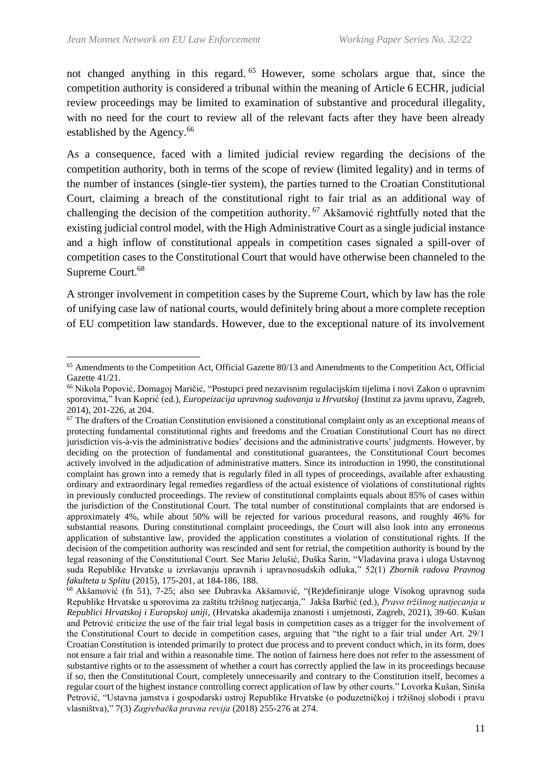not changed anything in this regard. <sup>65</sup> However, some scholars argue that, since the competition authority is considered a tribunal within the meaning of Article 6 ECHR, judicial review proceedings may be limited to examination of substantive and procedural illegality, with no need for the court to review all of the relevant facts after they have been already established by the Agency.<sup>66</sup>

As a consequence, faced with a limited judicial review regarding the decisions of the competition authority, both in terms of the scope of review (limited legality) and in terms of the number of instances (single-tier system), the parties turned to the Croatian Constitutional Court, claiming a breach of the constitutional right to fair trial as an additional way of challenging the decision of the competition authority.<sup>67</sup> Akšamović rightfully noted that the existing judicial control model, with the High Administrative Court as a single judicial instance and a high inflow of constitutional appeals in competition cases signaled a spill-over of competition cases to the Constitutional Court that would have otherwise been channeled to the Supreme Court.<sup>68</sup>

A stronger involvement in competition cases by the Supreme Court, which by law has the role of unifying case law of national courts, would definitely bring about a more complete reception of EU competition law standards. However, due to the exceptional nature of its involvement

<sup>65</sup> Amendments to the Competition Act, Official Gazette 80/13 and Amendments to the Competition Act, Official Gazette 41/21.

<sup>66</sup> Nikola Popović, Domagoj Maričić, "Postupci pred nezavisnim regulacijskim tijelima i novi Zakon o upravnim sporovima," Ivan Koprić (ed.), *Europeizacija upravnog sudovanja u Hrvatskoj* (Institut za javnu upravu, Zagreb, 2014), 201-226, at 204.

<sup>&</sup>lt;sup>67</sup> The drafters of the Croatian Constitution envisioned a constitutional complaint only as an exceptional means of protecting fundamental constitutional rights and freedoms and the Croatian Constitutional Court has no direct jurisdiction vis-à-vis the administrative bodies' decisions and the administrative courts' judgments. However, by deciding on the protection of fundamental and constitutional guarantees, the Constitutional Court becomes actively involved in the adjudication of administrative matters. Since its introduction in 1990, the constitutional complaint has grown into a remedy that is regularly filed in all types of proceedings, available after exhausting ordinary and extraordinary legal remedies regardless of the actual existence of violations of constitutional rights in previously conducted proceedings. The review of constitutional complaints equals about 85% of cases within the jurisdiction of the Constitutional Court. The total number of constitutional complaints that are endorsed is approximately 4%, while about 50% will be rejected for various procedural reasons, and roughly 46% for substantial reasons. During constitutional complaint proceedings, the Court will also look into any erroneous application of substantive law, provided the application constitutes a violation of constitutional rights. If the decision of the competition authority was rescinded and sent for retrial, the competition authority is bound by the legal reasoning of the Constitutional Court. See Mario Jelušić, Duška Šarin, "Vladavina prava i uloga Ustavnog suda Republike Hrvatske u izvršavanju upravnih i upravnosudskih odluka," 52(1) *Zbornik radova Pravnog fakulteta u Splitu* (2015), 175-201, at 184-186, 188.

<sup>68</sup> Akšamović (fn 51), 7-25; also see Dubravka Akšamović, "(Re)definiranje uloge Visokog upravnog suda Republike Hrvatske u sporovima za zaštitu tržišnog natjecanja," Jakša Barbić (ed.), *Pravo tržišnog natjecanja u Republici Hrvatskoj i Europskoj uniji*, (Hrvatska akademija znanosti i umjetnosti, Zagreb, 2021), 39-60. Kušan and Petrović criticize the use of the fair trial legal basis in competition cases as a trigger for the involvement of the Constitutional Court to decide in competition cases, arguing that "the right to a fair trial under Art. 29/1 Croatian Constitution is intended primarily to protect due process and to prevent conduct which, in its form, does not ensure a fair trial and within a reasonable time. The notion of fairness here does not refer to the assessment of substantive rights or to the assessment of whether a court has correctly applied the law in its proceedings because if so, then the Constitutional Court, completely unnecessarily and contrary to the Constitution itself, becomes a regular court of the highest instance controlling correct application of law by other courts." Lovorka Kušan, Siniša Petrović, "Ustavna jamstva i gospodarski ustroj Republike Hrvatske (o poduzetničkoj i tržišnoj slobodi i pravu vlasništva)," 7(3) *Zagrebačka pravna revija* (2018) 255-276 at 274.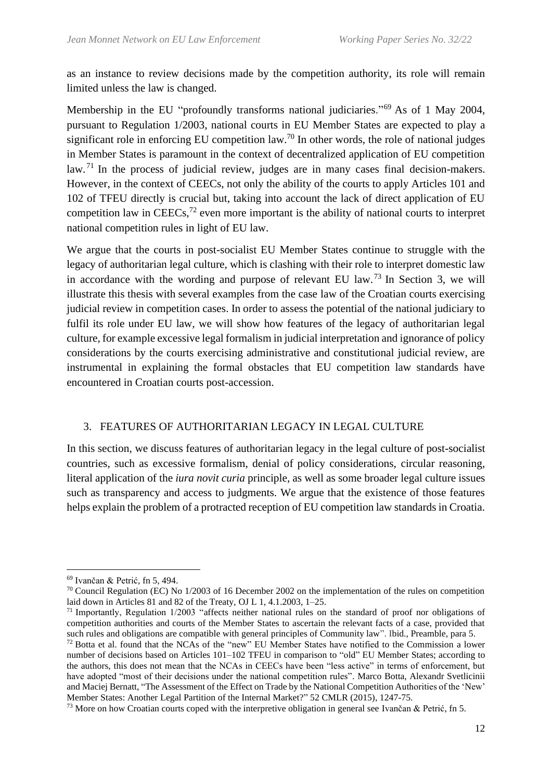as an instance to review decisions made by the competition authority, its role will remain limited unless the law is changed.

Membership in the EU "profoundly transforms national judiciaries."<sup>69</sup> As of 1 May 2004, pursuant to Regulation 1/2003, national courts in EU Member States are expected to play a significant role in enforcing EU competition law.<sup>70</sup> In other words, the role of national judges in Member States is paramount in the context of decentralized application of EU competition law.<sup>71</sup> In the process of judicial review, judges are in many cases final decision-makers. However, in the context of CEECs, not only the ability of the courts to apply Articles 101 and 102 of TFEU directly is crucial but, taking into account the lack of direct application of EU competition law in CEECs, $^{72}$  even more important is the ability of national courts to interpret national competition rules in light of EU law.

We argue that the courts in post-socialist EU Member States continue to struggle with the legacy of authoritarian legal culture, which is clashing with their role to interpret domestic law in accordance with the wording and purpose of relevant EU law.<sup>73</sup> In Section 3, we will illustrate this thesis with several examples from the case law of the Croatian courts exercising judicial review in competition cases. In order to assess the potential of the national judiciary to fulfil its role under EU law, we will show how features of the legacy of authoritarian legal culture, for example excessive legal formalism in judicial interpretation and ignorance of policy considerations by the courts exercising administrative and constitutional judicial review, are instrumental in explaining the formal obstacles that EU competition law standards have encountered in Croatian courts post-accession.

#### 3. FEATURES OF AUTHORITARIAN LEGACY IN LEGAL CULTURE

In this section, we discuss features of authoritarian legacy in the legal culture of post-socialist countries, such as excessive formalism, denial of policy considerations, circular reasoning, literal application of the *iura novit curia* principle, as well as some broader legal culture issues such as transparency and access to judgments. We argue that the existence of those features helps explain the problem of a protracted reception of EU competition law standards in Croatia.

<sup>69</sup> Ivančan & Petrić, fn 5, 494.

<sup>70</sup> Council Regulation (EC) No 1/2003 of 16 December 2002 on the implementation of the rules on competition laid down in Articles 81 and 82 of the Treaty, OJ L 1, 4.1.2003, 1–25.

<sup>71</sup> Importantly, Regulation 1/2003 "affects neither national rules on the standard of proof nor obligations of competition authorities and courts of the Member States to ascertain the relevant facts of a case, provided that such rules and obligations are compatible with general principles of Community law". Ibid., Preamble, para 5.

<sup>&</sup>lt;sup>72</sup> Botta et al. found that the NCAs of the "new" EU Member States have notified to the Commission a lower number of decisions based on Articles 101–102 TFEU in comparison to "old" EU Member States; according to the authors, this does not mean that the NCAs in CEECs have been "less active" in terms of enforcement, but have adopted "most of their decisions under the national competition rules". Marco Botta, Alexandr Svetlicinii and Maciej Bernatt, "The Assessment of the Effect on Trade by the National Competition Authorities of the 'New' Member States: Another Legal Partition of the Internal Market?" 52 CMLR (2015), 1247-75.

<sup>&</sup>lt;sup>73</sup> More on how Croatian courts coped with the interpretive obligation in general see Ivančan & Petrić, fn 5.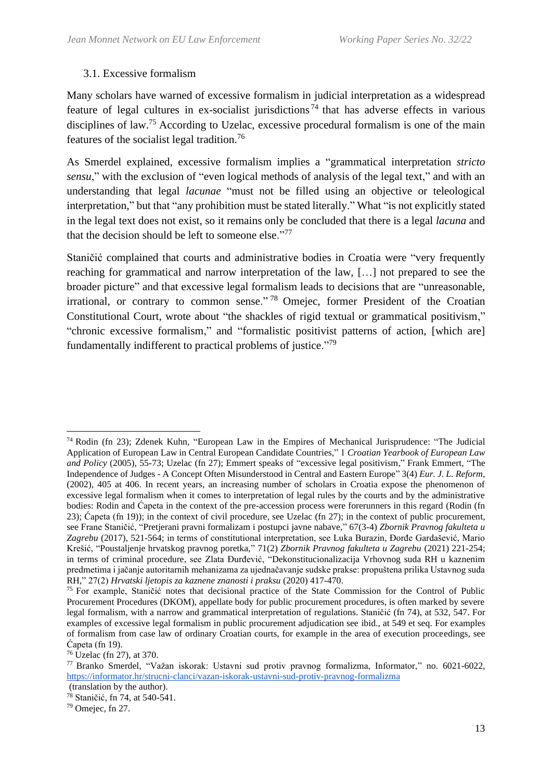### 3.1. Excessive formalism

Many scholars have warned of excessive formalism in judicial interpretation as a widespread feature of legal cultures in ex-socialist jurisdictions<sup>74</sup> that has adverse effects in various disciplines of law.<sup>75</sup> According to Uzelac, excessive procedural formalism is one of the main features of the socialist legal tradition.<sup>76</sup>

As Smerdel explained, excessive formalism implies a "grammatical interpretation *stricto sensu*," with the exclusion of "even logical methods of analysis of the legal text," and with an understanding that legal *lacunae* "must not be filled using an objective or teleological interpretation," but that "any prohibition must be stated literally." What "is not explicitly stated in the legal text does not exist, so it remains only be concluded that there is a legal *lacuna* and that the decision should be left to someone else."<sup>77</sup>

Staničić complained that courts and administrative bodies in Croatia were "very frequently reaching for grammatical and narrow interpretation of the law, […] not prepared to see the broader picture" and that excessive legal formalism leads to decisions that are "unreasonable, irrational, or contrary to common sense." <sup>78</sup> Omejec, former President of the Croatian Constitutional Court, wrote about "the shackles of rigid textual or grammatical positivism," "chronic excessive formalism," and "formalistic positivist patterns of action, [which are] fundamentally indifferent to practical problems of justice."<sup>79</sup>

<sup>74</sup> Rodin (fn 23); Zdenek Kuhn, "European Law in the Empires of Mechanical Jurisprudence: "The Judicial Application of European Law in Central European Candidate Countries," 1 *Croatian Yearbook of European Law and Policy* (2005), 55-73; Uzelac (fn 27); Emmert speaks of "excessive legal positivism," Frank Emmert, "The Independence of Judges - A Concept Often Misunderstood in Central and Eastern Europe" 3(4) *Eur. J. L. Reform*, (2002), 405 at 406. In recent years, an increasing number of scholars in Croatia expose the phenomenon of excessive legal formalism when it comes to interpretation of legal rules by the courts and by the administrative bodies: Rodin and Ćapeta in the context of the pre-accession process were forerunners in this regard (Rodin (fn 23); Ćapeta (fn 19)); in the context of civil procedure, see Uzelac (fn 27); in the context of public procurement, see Frane Staničić, "Pretjerani pravni formalizam i postupci javne nabave," 67(3-4) *Zbornik Pravnog fakulteta u Zagrebu* (2017), 521-564; in terms of constitutional interpretation, see Luka Burazin, Đorđe Gardašević, Mario Krešić, "Poustaljenje hrvatskog pravnog poretka," 71(2) *Zbornik Pravnog fakulteta u Zagrebu* (2021) 221-254; in terms of criminal procedure, see Zlata Đurđević, "Dekonstitucionalizacija Vrhovnog suda RH u kaznenim predmetima i jačanje autoritarnih mehanizama za ujednačavanje sudske prakse: propuštena prilika Ustavnog suda RH," 27(2) *Hrvatski ljetopis za kaznene znanosti i praksu* (2020) 417-470.

<sup>75</sup> For example, Staničić notes that decisional practice of the State Commission for the Control of Public Procurement Procedures (DKOM), appellate body for public procurement procedures, is often marked by severe legal formalism, with a narrow and grammatical interpretation of regulations. Staničić (fn 74), at 532, 547. For examples of excessive legal formalism in public procurement adjudication see ibid., at 549 et seq. For examples of formalism from case law of ordinary Croatian courts, for example in the area of execution proceedings, see Ćapeta (fn 19).

<sup>76</sup> Uzelac (fn 27), at 370.

<sup>77</sup> Branko Smerdel, "Važan iskorak: Ustavni sud protiv pravnog formalizma, Informator," no. 6021-6022, <https://informator.hr/strucni-clanci/vazan-iskorak-ustavni-sud-protiv-pravnog-formalizma>

<sup>(</sup>translation by the author).

<sup>78</sup> Staničić, fn 74, at 540-541.

<sup>79</sup> Omejec, fn 27.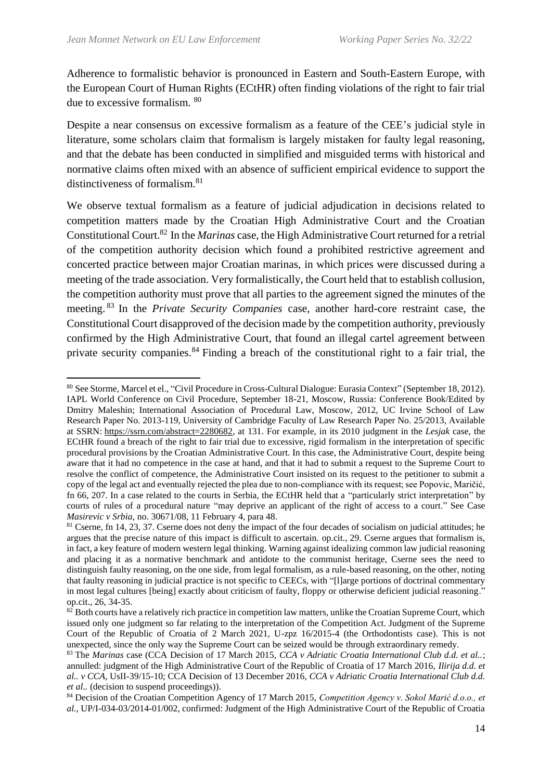Adherence to formalistic behavior is pronounced in Eastern and South-Eastern Europe, with the European Court of Human Rights (ECtHR) often finding violations of the right to fair trial due to excessive formalism. <sup>80</sup>

Despite a near consensus on excessive formalism as a feature of the CEE's judicial style in literature, some scholars claim that formalism is largely mistaken for faulty legal reasoning, and that the debate has been conducted in simplified and misguided terms with historical and normative claims often mixed with an absence of sufficient empirical evidence to support the distinctiveness of formalism.<sup>81</sup>

We observe textual formalism as a feature of judicial adjudication in decisions related to competition matters made by the Croatian High Administrative Court and the Croatian Constitutional Court.<sup>82</sup> In the *Marinas* case, the High Administrative Court returned for a retrial of the competition authority decision which found a prohibited restrictive agreement and concerted practice between major Croatian marinas, in which prices were discussed during a meeting of the trade association. Very formalistically, the Court held that to establish collusion, the competition authority must prove that all parties to the agreement signed the minutes of the meeting. <sup>83</sup> In the *Private Security Companies* case, another hard-core restraint case, the Constitutional Court disapproved of the decision made by the competition authority, previously confirmed by the High Administrative Court, that found an illegal cartel agreement between private security companies.<sup>84</sup> Finding a breach of the constitutional right to a fair trial, the

<sup>80</sup> See Storme, Marcel et el., "Civil Procedure in Cross-Cultural Dialogue: Eurasia Context" (September 18, 2012). IAPL World Conference on Civil Procedure, September 18-21, Moscow, Russia: Conference Book/Edited by Dmitry Maleshin; International Association of Procedural Law, Moscow, 2012, UC Irvine School of Law Research Paper No. 2013-119, University of Cambridge Faculty of Law Research Paper No. 25/2013, Available at SSRN: [https://ssrn.com/abstract=2280682,](https://ssrn.com/abstract=2280682) at 131. For example, in its 2010 judgment in the *Lesjak* case, the ECtHR found a breach of the right to fair trial due to excessive, rigid formalism in the interpretation of specific procedural provisions by the Croatian Administrative Court. In this case, the Administrative Court, despite being aware that it had no competence in the case at hand, and that it had to submit a request to the Supreme Court to resolve the conflict of competence, the Administrative Court insisted on its request to the petitioner to submit a copy of the legal act and eventually rejected the plea due to non-compliance with its request; see Popovic, Maričić, fn 66, 207. In a case related to the courts in Serbia, the ECtHR held that a "particularly strict interpretation" by courts of rules of a procedural nature "may deprive an applicant of the right of access to a court." See Case *Masirevic v Srbia,* no. 30671/08, 11 February 4, para 48.

<sup>&</sup>lt;sup>81</sup> Cserne, fn 14, 23, 37. Cserne does not deny the impact of the four decades of socialism on judicial attitudes; he argues that the precise nature of this impact is difficult to ascertain. op.cit., 29. Cserne argues that formalism is, in fact, a key feature of modern western legal thinking. Warning against idealizing common law judicial reasoning and placing it as a normative benchmark and antidote to the communist heritage, Cserne sees the need to distinguish faulty reasoning, on the one side, from legal formalism, as a rule-based reasoning, on the other, noting that faulty reasoning in judicial practice is not specific to CEECs, with "[l]arge portions of doctrinal commentary in most legal cultures [being] exactly about criticism of faulty, floppy or otherwise deficient judicial reasoning." op.cit., 26, 34-35.

 $82$  Both courts have a relatively rich practice in competition law matters, unlike the Croatian Supreme Court, which issued only one judgment so far relating to the interpretation of the Competition Act. Judgment of the Supreme Court of the Republic of Croatia of 2 March 2021, U-zpz 16/2015-4 (the Orthodontists case). This is not unexpected, since the only way the Supreme Court can be seized would be through extraordinary remedy.

<sup>83</sup> The *Marinas* case (CCA Decision of 17 March 2015, *CCA v Adriatic Croatia International Club d.d. et al..*; annulled: judgment of the High Administrative Court of the Republic of Croatia of 17 March 2016, *Ilirija d.d. et al.. v CCA*, UsII-39/15-10; CCA Decision of 13 December 2016, *CCA v Adriatic Croatia International Club d.d. et al..* (decision to suspend proceedings)).

<sup>84</sup> Decision of the Croatian Competition Agency of 17 March 2015, *Competition Agency v. Sokol Marić d.o.o., et al.*, UP/I-034-03/2014-01/002, confirmed: Judgment of the High Administrative Court of the Republic of Croatia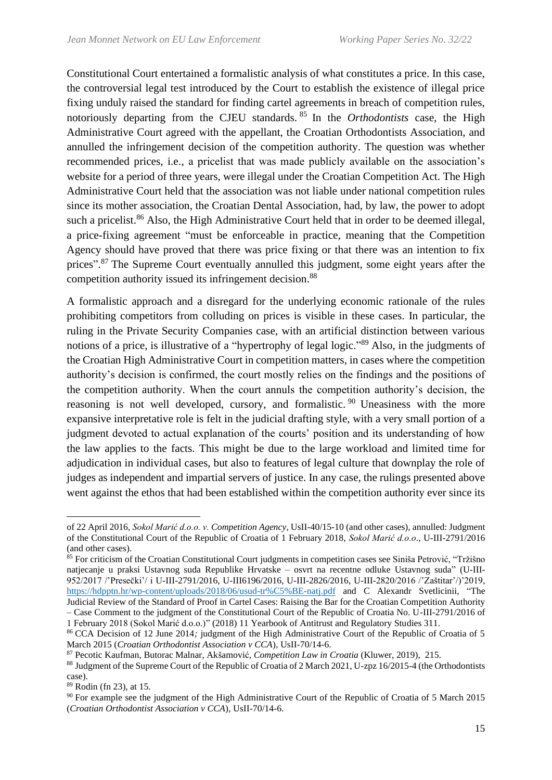Constitutional Court entertained a formalistic analysis of what constitutes a price. In this case, the controversial legal test introduced by the Court to establish the existence of illegal price fixing unduly raised the standard for finding cartel agreements in breach of competition rules, notoriously departing from the CJEU standards. <sup>85</sup> In the *Orthodontists* case, the High Administrative Court agreed with the appellant, the Croatian Orthodontists Association, and annulled the infringement decision of the competition authority. The question was whether recommended prices, i.e., a pricelist that was made publicly available on the association's website for a period of three years, were illegal under the Croatian Competition Act. The High Administrative Court held that the association was not liable under national competition rules since its mother association, the Croatian Dental Association, had, by law, the power to adopt such a pricelist.<sup>86</sup> Also, the High Administrative Court held that in order to be deemed illegal, a price-fixing agreement "must be enforceable in practice, meaning that the Competition Agency should have proved that there was price fixing or that there was an intention to fix prices".<sup>87</sup> The Supreme Court eventually annulled this judgment, some eight years after the competition authority issued its infringement decision.<sup>88</sup>

A formalistic approach and a disregard for the underlying economic rationale of the rules prohibiting competitors from colluding on prices is visible in these cases. In particular, the ruling in the Private Security Companies case, with an artificial distinction between various notions of a price, is illustrative of a "hypertrophy of legal logic."<sup>89</sup> Also, in the judgments of the Croatian High Administrative Court in competition matters, in cases where the competition authority's decision is confirmed, the court mostly relies on the findings and the positions of the competition authority. When the court annuls the competition authority's decision, the reasoning is not well developed, cursory, and formalistic.<sup>90</sup> Uneasiness with the more expansive interpretative role is felt in the judicial drafting style, with a very small portion of a judgment devoted to actual explanation of the courts' position and its understanding of how the law applies to the facts. This might be due to the large workload and limited time for adjudication in individual cases, but also to features of legal culture that downplay the role of judges as independent and impartial servers of justice. In any case, the rulings presented above went against the ethos that had been established within the competition authority ever since its

of 22 April 2016, *Sokol Marić d.o.o. v. Competition Agency*, UsII-40/15-10 (and other cases), annulled: Judgment of the Constitutional Court of the Republic of Croatia of 1 February 2018, *Sokol Marić d.o.o*., U-III-2791/2016 (and other cases).

<sup>85</sup> For criticism of the Croatian Constitutional Court judgments in competition cases see Siniša Petrović, "Tržišno natjecanje u praksi Ustavnog suda Republike Hrvatske – osvrt na recentne odluke Ustavnog suda" (U-III-952/2017 /'Presečki'/ i U-III-2791/2016, U-III6196/2016, U-III-2826/2016, U-III-2820/2016 /'Zaštitar'/)'2019, <https://hdpptn.hr/wp-content/uploads/2018/06/usud-tr%C5%BE-natj.pdf> and C Alexandr Svetlicinii, "The Judicial Review of the Standard of Proof in Cartel Cases: Raising the Bar for the Croatian Competition Authority – Case Comment to the judgment of the Constitutional Court of the Republic of Croatia No. U-III-2791/2016 of

<sup>1</sup> February 2018 (Sokol Marić d.o.o.)" (2018) 11 Yearbook of Antitrust and Regulatory Studies 311.

<sup>86</sup> CCA Decision of 12 June 2014*;* judgment of the High Administrative Court of the Republic of Croatia of 5 March 2015 (*Croatian Orthodontist Association v CCA*)*,* UsII-70/14-6.

<sup>87</sup> Pecotic Kaufman, Butorac Malnar, Akšamović, *Competition Law in Croatia* (Kluwer, 2019), 215.

<sup>88</sup> Judgment of the Supreme Court of the Republic of Croatia of 2 March 2021, U-zpz 16/2015-4 (the Orthodontists case).

<sup>89</sup> Rodin (fn 23), at 15.

<sup>&</sup>lt;sup>90</sup> For example see the judgment of the High Administrative Court of the Republic of Croatia of 5 March 2015 (*Croatian Orthodontist Association v CCA*)*,* UsII-70/14-6.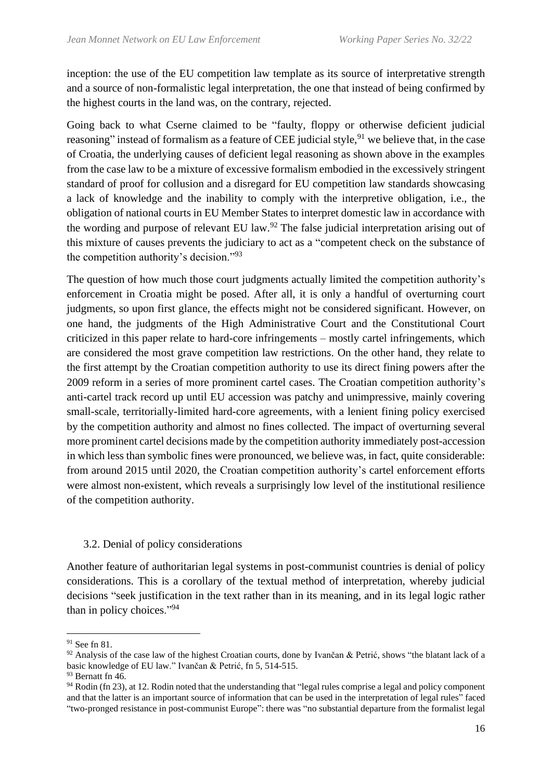inception: the use of the EU competition law template as its source of interpretative strength and a source of non-formalistic legal interpretation, the one that instead of being confirmed by the highest courts in the land was, on the contrary, rejected.

Going back to what Cserne claimed to be "faulty, floppy or otherwise deficient judicial reasoning" instead of formalism as a feature of CEE judicial style,<sup>91</sup> we believe that, in the case of Croatia, the underlying causes of deficient legal reasoning as shown above in the examples from the case law to be a mixture of excessive formalism embodied in the excessively stringent standard of proof for collusion and a disregard for EU competition law standards showcasing a lack of knowledge and the inability to comply with the interpretive obligation, i.e., the obligation of national courts in EU Member States to interpret domestic law in accordance with the wording and purpose of relevant EU law.<sup>92</sup> The false judicial interpretation arising out of this mixture of causes prevents the judiciary to act as a "competent check on the substance of the competition authority's decision."<sup>93</sup>

The question of how much those court judgments actually limited the competition authority's enforcement in Croatia might be posed. After all, it is only a handful of overturning court judgments, so upon first glance, the effects might not be considered significant. However, on one hand, the judgments of the High Administrative Court and the Constitutional Court criticized in this paper relate to hard-core infringements – mostly cartel infringements, which are considered the most grave competition law restrictions. On the other hand, they relate to the first attempt by the Croatian competition authority to use its direct fining powers after the 2009 reform in a series of more prominent cartel cases. The Croatian competition authority's anti-cartel track record up until EU accession was patchy and unimpressive, mainly covering small-scale, territorially-limited hard-core agreements, with a lenient fining policy exercised by the competition authority and almost no fines collected. The impact of overturning several more prominent cartel decisions made by the competition authority immediately post-accession in which less than symbolic fines were pronounced, we believe was, in fact, quite considerable: from around 2015 until 2020, the Croatian competition authority's cartel enforcement efforts were almost non-existent, which reveals a surprisingly low level of the institutional resilience of the competition authority.

#### 3.2. Denial of policy considerations

Another feature of authoritarian legal systems in post-communist countries is denial of policy considerations. This is a corollary of the textual method of interpretation, whereby judicial decisions "seek justification in the text rather than in its meaning, and in its legal logic rather than in policy choices."<sup>94</sup>

<sup>91</sup> See fn 81.

<sup>92</sup> Analysis of the case law of the highest Croatian courts, done by Ivančan & Petrić, shows "the blatant lack of a basic knowledge of EU law." Ivančan & Petrić, fn 5, 514-515.

 $93$  Bernatt fn 46.

 $94$  Rodin (fn 23), at 12. Rodin noted that the understanding that "legal rules comprise a legal and policy component and that the latter is an important source of information that can be used in the interpretation of legal rules" faced "two-pronged resistance in post-communist Europe": there was "no substantial departure from the formalist legal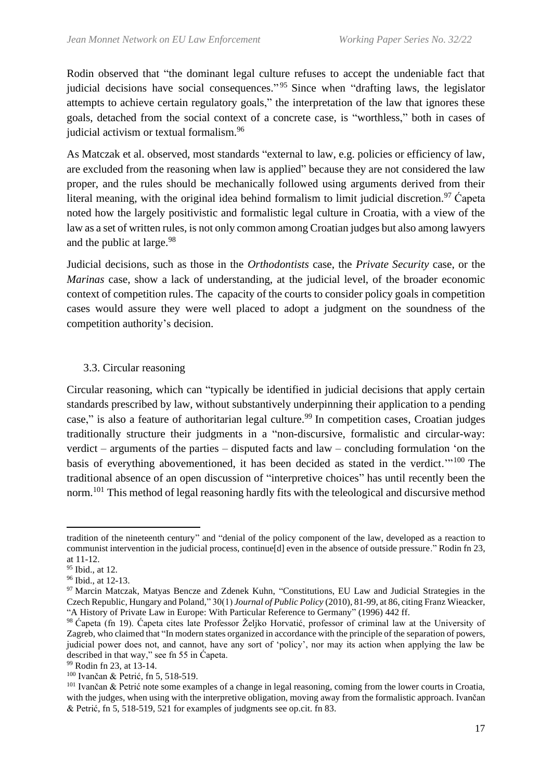Rodin observed that "the dominant legal culture refuses to accept the undeniable fact that judicial decisions have social consequences."<sup>95</sup> Since when "drafting laws, the legislator attempts to achieve certain regulatory goals," the interpretation of the law that ignores these goals, detached from the social context of a concrete case, is "worthless," both in cases of judicial activism or textual formalism.<sup>96</sup>

As Matczak et al. observed, most standards "external to law, e.g. policies or efficiency of law, are excluded from the reasoning when law is applied" because they are not considered the law proper, and the rules should be mechanically followed using arguments derived from their literal meaning, with the original idea behind formalism to limit judicial discretion.<sup>97</sup> Capeta noted how the largely positivistic and formalistic legal culture in Croatia, with a view of the law as a set of written rules, is not only common among Croatian judges but also among lawyers and the public at large.<sup>98</sup>

Judicial decisions, such as those in the *Orthodontists* case, the *Private Security* case, or the *Marinas* case, show a lack of understanding, at the judicial level, of the broader economic context of competition rules. The capacity of the courts to consider policy goals in competition cases would assure they were well placed to adopt a judgment on the soundness of the competition authority's decision.

# 3.3. Circular reasoning

Circular reasoning, which can "typically be identified in judicial decisions that apply certain standards prescribed by law, without substantively underpinning their application to a pending case," is also a feature of authoritarian legal culture.<sup>99</sup> In competition cases, Croatian judges traditionally structure their judgments in a "non-discursive, formalistic and circular-way: verdict – arguments of the parties – disputed facts and law – concluding formulation 'on the basis of everything abovementioned, it has been decided as stated in the verdict."<sup>100</sup> The traditional absence of an open discussion of "interpretive choices" has until recently been the norm.<sup>101</sup> This method of legal reasoning hardly fits with the teleological and discursive method

tradition of the nineteenth century" and "denial of the policy component of the law, developed as a reaction to communist intervention in the judicial process, continue[d] even in the absence of outside pressure." Rodin fn 23, at 11-12.

<sup>&</sup>lt;sup>95</sup> Ibid., at 12.

<sup>96</sup> Ibid., at 12-13.

<sup>&</sup>lt;sup>97</sup> Marcin Matczak, Matyas Bencze and Zdenek Kuhn, "Constitutions, EU Law and Judicial Strategies in the Czech Republic, Hungary and Poland," 30(1) *Journal of Public Policy* (2010), 81-99, at 86, citing Franz Wieacker, "A History of Private Law in Europe: With Particular Reference to Germany" (1996) 442 ff.

<sup>98</sup> Ćapeta (fn 19). Ćapeta cites late Professor Željko Horvatić, professor of criminal law at the University of Zagreb, who claimed that "In modern states organized in accordance with the principle of the separation of powers, judicial power does not, and cannot, have any sort of 'policy', nor may its action when applying the law be described in that way," see fn 55 in Ćapeta.

<sup>99</sup> Rodin fn 23, at 13-14.

<sup>100</sup> Ivančan & Petrić, fn 5, 518-519.

<sup>&</sup>lt;sup>101</sup> Ivančan & Petrić note some examples of a change in legal reasoning, coming from the lower courts in Croatia, with the judges, when using with the interpretive obligation, moving away from the formalistic approach. Ivančan & Petrić, fn 5, 518-519, 521 for examples of judgments see op.cit. fn 83.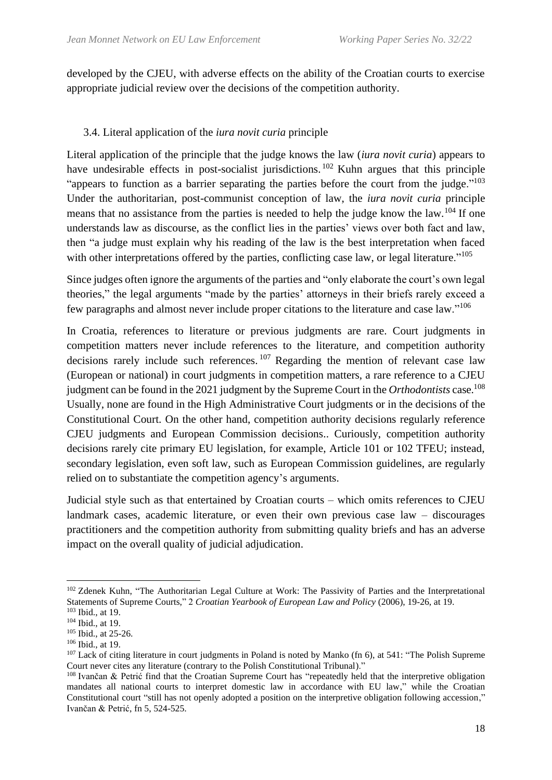developed by the CJEU, with adverse effects on the ability of the Croatian courts to exercise appropriate judicial review over the decisions of the competition authority.

### 3.4. Literal application of the *iura novit curia* principle

Literal application of the principle that the judge knows the law (*iura novit curia*) appears to have undesirable effects in post-socialist jurisdictions.<sup>102</sup> Kuhn argues that this principle "appears to function as a barrier separating the parties before the court from the judge."<sup>103</sup> Under the authoritarian, post-communist conception of law, the *iura novit curia* principle means that no assistance from the parties is needed to help the judge know the law.<sup>104</sup> If one understands law as discourse, as the conflict lies in the parties' views over both fact and law, then "a judge must explain why his reading of the law is the best interpretation when faced with other interpretations offered by the parties, conflicting case law, or legal literature."<sup>105</sup>

Since judges often ignore the arguments of the parties and "only elaborate the court's own legal theories," the legal arguments "made by the parties' attorneys in their briefs rarely exceed a few paragraphs and almost never include proper citations to the literature and case law."<sup>106</sup>

In Croatia, references to literature or previous judgments are rare. Court judgments in competition matters never include references to the literature, and competition authority decisions rarely include such references.  $107$  Regarding the mention of relevant case law (European or national) in court judgments in competition matters, a rare reference to a CJEU judgment can be found in the 2021 judgment by the Supreme Court in the *Orthodontists* case.<sup>108</sup> Usually, none are found in the High Administrative Court judgments or in the decisions of the Constitutional Court. On the other hand, competition authority decisions regularly reference CJEU judgments and European Commission decisions.. Curiously, competition authority decisions rarely cite primary EU legislation, for example, Article 101 or 102 TFEU; instead, secondary legislation, even soft law, such as European Commission guidelines, are regularly relied on to substantiate the competition agency's arguments.

Judicial style such as that entertained by Croatian courts – which omits references to CJEU landmark cases, academic literature, or even their own previous case law – discourages practitioners and the competition authority from submitting quality briefs and has an adverse impact on the overall quality of judicial adjudication.

<sup>&</sup>lt;sup>102</sup> Zdenek Kuhn, "The Authoritarian Legal Culture at Work: The Passivity of Parties and the Interpretational Statements of Supreme Courts," 2 *Croatian Yearbook of European Law and Policy* (2006), 19-26, at 19.

<sup>103</sup> Ibid., at 19. <sup>104</sup> Ibid., at 19.

<sup>&</sup>lt;sup>105</sup> Ibid., at 25-26.

<sup>106</sup> Ibid., at 19.

<sup>&</sup>lt;sup>107</sup> Lack of citing literature in court judgments in Poland is noted by Manko (fn 6), at 541: "The Polish Supreme Court never cites any literature (contrary to the Polish Constitutional Tribunal)."

<sup>108</sup> Ivančan & Petrić find that the Croatian Supreme Court has "repeatedly held that the interpretive obligation mandates all national courts to interpret domestic law in accordance with EU law," while the Croatian Constitutional court "still has not openly adopted a position on the interpretive obligation following accession," Ivančan & Petrić, fn 5, 524-525.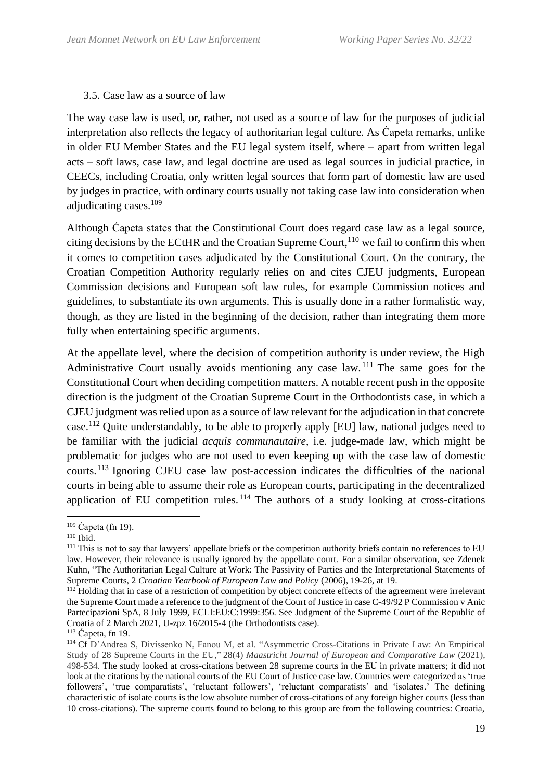#### 3.5. Case law as a source of law

The way case law is used, or, rather, not used as a source of law for the purposes of judicial interpretation also reflects the legacy of authoritarian legal culture. As Ćapeta remarks, unlike in older EU Member States and the EU legal system itself, where – apart from written legal acts – soft laws, case law, and legal doctrine are used as legal sources in judicial practice, in CEECs, including Croatia, only written legal sources that form part of domestic law are used by judges in practice, with ordinary courts usually not taking case law into consideration when adjudicating cases. 109

Although Ćapeta states that the Constitutional Court does regard case law as a legal source, citing decisions by the ECtHR and the Croatian Supreme Court,<sup>110</sup> we fail to confirm this when it comes to competition cases adjudicated by the Constitutional Court. On the contrary, the Croatian Competition Authority regularly relies on and cites CJEU judgments, European Commission decisions and European soft law rules, for example Commission notices and guidelines, to substantiate its own arguments. This is usually done in a rather formalistic way, though, as they are listed in the beginning of the decision, rather than integrating them more fully when entertaining specific arguments.

At the appellate level, where the decision of competition authority is under review, the High Administrative Court usually avoids mentioning any case law. <sup>111</sup> The same goes for the Constitutional Court when deciding competition matters. A notable recent push in the opposite direction is the judgment of the Croatian Supreme Court in the Orthodontists case, in which a CJEU judgment was relied upon as a source of law relevant for the adjudication in that concrete case.<sup>112</sup> Quite understandably, to be able to properly apply [EU] law, national judges need to be familiar with the judicial *acquis communautaire*, i.e. judge-made law, which might be problematic for judges who are not used to even keeping up with the case law of domestic courts. <sup>113</sup> Ignoring CJEU case law post-accession indicates the difficulties of the national courts in being able to assume their role as European courts, participating in the decentralized application of EU competition rules.  $114$  The authors of a study looking at cross-citations

 $109 \text{ Čaeta (fn 19).$ 

<sup>110</sup> Ibid.

<sup>&</sup>lt;sup>111</sup> This is not to say that lawyers' appellate briefs or the competition authority briefs contain no references to EU law. However, their relevance is usually ignored by the appellate court. For a similar observation, see Zdenek Kuhn, "The Authoritarian Legal Culture at Work: The Passivity of Parties and the Interpretational Statements of Supreme Courts, 2 *Croatian Yearbook of European Law and Policy* (2006), 19-26, at 19.

<sup>&</sup>lt;sup>112</sup> Holding that in case of a restriction of competition by object concrete effects of the agreement were irrelevant the Supreme Court made a reference to the judgment of the Court of Justice in case C-49/92 P Commission v Anic Partecipazioni SpA, 8 July 1999, ECLI:EU:C:1999:356. See Judgment of the Supreme Court of the Republic of Croatia of 2 March 2021, U-zpz 16/2015-4 (the Orthodontists case).

<sup>113</sup> Ćapeta, fn 19.

<sup>114</sup> Cf D'Andrea S, Divissenko N, Fanou M, et al. "Asymmetric Cross-Citations in Private Law: An Empirical Study of 28 Supreme Courts in the EU," 28(4) *Maastricht Journal of European and Comparative Law* (2021), 498-534. The study looked at cross-citations between 28 supreme courts in the EU in private matters; it did not look at the citations by the national courts of the EU Court of Justice case law. Countries were categorized as 'true followers', 'true comparatists', 'reluctant followers', 'reluctant comparatists' and 'isolates.' The defining characteristic of isolate courts is the low absolute number of cross-citations of any foreign higher courts (less than 10 cross-citations). The supreme courts found to belong to this group are from the following countries: Croatia,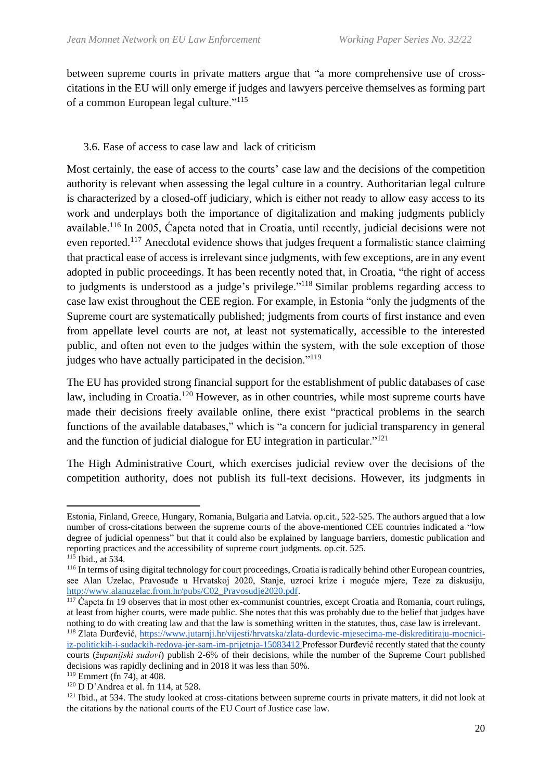between supreme courts in private matters argue that "a more comprehensive use of crosscitations in the EU will only emerge if judges and lawyers perceive themselves as forming part of a common European legal culture."<sup>115</sup>

# 3.6. Ease of access to case law and lack of criticism

Most certainly, the ease of access to the courts' case law and the decisions of the competition authority is relevant when assessing the legal culture in a country. Authoritarian legal culture is characterized by a closed-off judiciary, which is either not ready to allow easy access to its work and underplays both the importance of digitalization and making judgments publicly available.<sup>116</sup> In 2005, Capeta noted that in Croatia, until recently, judicial decisions were not even reported.<sup>117</sup> Anecdotal evidence shows that judges frequent a formalistic stance claiming that practical ease of access is irrelevant since judgments, with few exceptions, are in any event adopted in public proceedings. It has been recently noted that, in Croatia, "the right of access to judgments is understood as a judge's privilege."<sup>118</sup> Similar problems regarding access to case law exist throughout the CEE region. For example, in Estonia "only the judgments of the Supreme court are systematically published; judgments from courts of first instance and even from appellate level courts are not, at least not systematically, accessible to the interested public, and often not even to the judges within the system, with the sole exception of those judges who have actually participated in the decision."<sup>119</sup>

The EU has provided strong financial support for the establishment of public databases of case law, including in Croatia.<sup>120</sup> However, as in other countries, while most supreme courts have made their decisions freely available online, there exist "practical problems in the search functions of the available databases," which is "a concern for judicial transparency in general and the function of judicial dialogue for EU integration in particular."<sup>121</sup>

The High Administrative Court, which exercises judicial review over the decisions of the competition authority, does not publish its full-text decisions. However, its judgments in

Estonia, Finland, Greece, Hungary, Romania, Bulgaria and Latvia. op.cit., 522-525. The authors argued that a low number of cross-citations between the supreme courts of the above-mentioned CEE countries indicated a "low degree of judicial openness" but that it could also be explained by language barriers, domestic publication and reporting practices and the accessibility of supreme court judgments. op.cit. 525.

<sup>&</sup>lt;sup>115</sup> Ibid., at 534.

<sup>116</sup> In terms of using digital technology for court proceedings, Croatia is radically behind other European countries, see Alan Uzelac, Pravosuđe u Hrvatskoj 2020, Stanje, uzroci krize i moguće mjere, Teze za diskusiju, [http://www.alanuzelac.from.hr/pubs/C02\\_Pravosudje2020.pdf.](http://www.alanuzelac.from.hr/pubs/C02_Pravosudje2020.pdf)

 $\frac{117}{2}$  Capeta fn 19 observes that in most other ex-communist countries, except Croatia and Romania, court rulings, at least from higher courts, were made public. She notes that this was probably due to the belief that judges have nothing to do with creating law and that the law is something written in the statutes, thus, case law is irrelevant.

<sup>118</sup> Zlata Đurđević, [https://www.jutarnji.hr/vijesti/hrvatska/zlata-durdevic-mjesecima-me-diskreditiraju-mocnici](https://www.jutarnji.hr/vijesti/hrvatska/zlata-durdevic-mjesecima-me-diskreditiraju-mocnici-iz-politickih-i-sudackih-redova-jer-sam-im-prijetnja-15083412)[iz-politickih-i-sudackih-redova-jer-sam-im-prijetnja-15083412](https://www.jutarnji.hr/vijesti/hrvatska/zlata-durdevic-mjesecima-me-diskreditiraju-mocnici-iz-politickih-i-sudackih-redova-jer-sam-im-prijetnja-15083412) Professor Đurđević recently stated that the county courts (*županijski sudovi*) publish 2-6% of their decisions, while the number of the Supreme Court published decisions was rapidly declining and in 2018 it was less than 50%.

<sup>119</sup> Emmert (fn 74), at 408.

 $120$  D D'Andrea et al. fn 114, at 528.

<sup>&</sup>lt;sup>121</sup> Ibid., at 534. The study looked at cross-citations between supreme courts in private matters, it did not look at the citations by the national courts of the EU Court of Justice case law.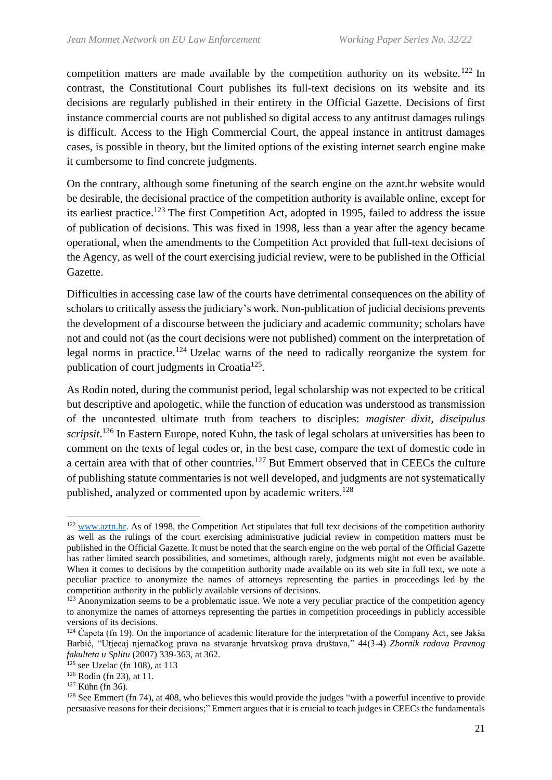competition matters are made available by the competition authority on its website.<sup>122</sup> In contrast, the Constitutional Court publishes its full-text decisions on its website and its decisions are regularly published in their entirety in the Official Gazette. Decisions of first instance commercial courts are not published so digital access to any antitrust damages rulings is difficult. Access to the High Commercial Court, the appeal instance in antitrust damages cases, is possible in theory, but the limited options of the existing internet search engine make it cumbersome to find concrete judgments.

On the contrary, although some finetuning of the search engine on the aznt.hr website would be desirable, the decisional practice of the competition authority is available online, except for its earliest practice.<sup>123</sup> The first Competition Act, adopted in 1995, failed to address the issue of publication of decisions. This was fixed in 1998, less than a year after the agency became operational, when the amendments to the Competition Act provided that full-text decisions of the Agency, as well of the court exercising judicial review, were to be published in the Official Gazette.

Difficulties in accessing case law of the courts have detrimental consequences on the ability of scholars to critically assess the judiciary's work. Non-publication of judicial decisions prevents the development of a discourse between the judiciary and academic community; scholars have not and could not (as the court decisions were not published) comment on the interpretation of legal norms in practice.<sup>124</sup> Uzelac warns of the need to radically reorganize the system for publication of court judgments in Croatia<sup>125</sup>.

As Rodin noted, during the communist period, legal scholarship was not expected to be critical but descriptive and apologetic, while the function of education was understood as transmission of the uncontested ultimate truth from teachers to disciples: *magister dixit, discipulus scripsit*. <sup>126</sup> In Eastern Europe, noted Kuhn, the task of legal scholars at universities has been to comment on the texts of legal codes or, in the best case, compare the text of domestic code in a certain area with that of other countries.<sup>127</sup> But Emmert observed that in CEECs the culture of publishing statute commentaries is not well developed, and judgments are not systematically published, analyzed or commented upon by academic writers.<sup>128</sup>

<sup>&</sup>lt;sup>122</sup> [www.aztn.hr.](http://www.aztn.hr/) As of 1998, the Competition Act stipulates that full text decisions of the competition authority as well as the rulings of the court exercising administrative judicial review in competition matters must be published in the Official Gazette. It must be noted that the search engine on the web portal of the Official Gazette has rather limited search possibilities, and sometimes, although rarely, judgments might not even be available. When it comes to decisions by the competition authority made available on its web site in full text, we note a peculiar practice to anonymize the names of attorneys representing the parties in proceedings led by the competition authority in the publicly available versions of decisions.

<sup>&</sup>lt;sup>123</sup> Anonymization seems to be a problematic issue. We note a very peculiar practice of the competition agency to anonymize the names of attorneys representing the parties in competition proceedings in publicly accessible versions of its decisions.

 $124$  Ćapeta (fn 19). On the importance of academic literature for the interpretation of the Company Act, see Jakša Barbić, "Utjecaj njemačkog prava na stvaranje hrvatskog prava društava," 44(3-4) *Zbornik radova Pravnog fakulteta u Splitu* (2007) 339-363, at 362.

 $125$  see Uzelac (fn 108), at 113

<sup>126</sup> Rodin (fn 23), at 11.

 $127$  Kiihn (fn 36).

 $128$  See Emmert (fn 74), at 408, who believes this would provide the judges "with a powerful incentive to provide persuasive reasons for their decisions;" Emmert argues that it is crucial to teach judges in CEECs the fundamentals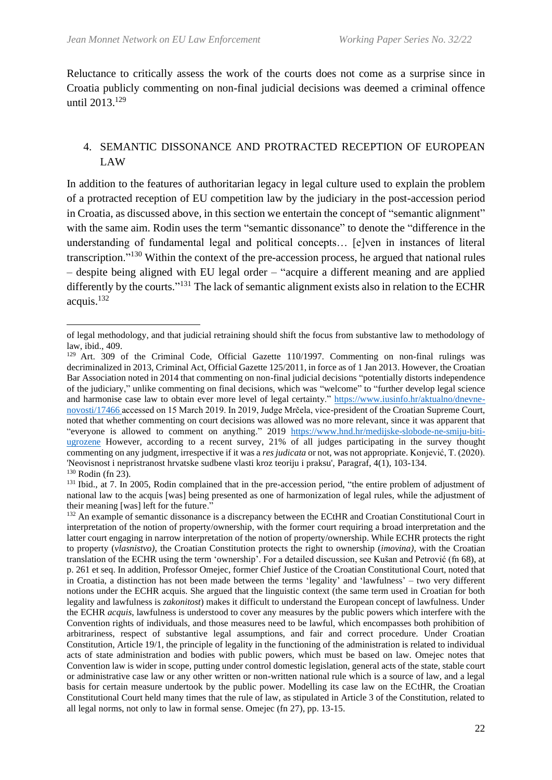Reluctance to critically assess the work of the courts does not come as a surprise since in Croatia publicly commenting on non-final judicial decisions was deemed a criminal offence until 2013. 129

#### 4. SEMANTIC DISSONANCE AND PROTRACTED RECEPTION OF EUROPEAN LAW

In addition to the features of authoritarian legacy in legal culture used to explain the problem of a protracted reception of EU competition law by the judiciary in the post-accession period in Croatia, as discussed above, in this section we entertain the concept of "semantic alignment" with the same aim. Rodin uses the term "semantic dissonance" to denote the "difference in the understanding of fundamental legal and political concepts… [e]ven in instances of literal transcription."<sup>130</sup> Within the context of the pre-accession process, he argued that national rules – despite being aligned with EU legal order – "acquire a different meaning and are applied differently by the courts."<sup>131</sup> The lack of semantic alignment exists also in relation to the ECHR acquis. $132$ 

of legal methodology, and that judicial retraining should shift the focus from substantive law to methodology of law, ibid., 409.

<sup>&</sup>lt;sup>129</sup> Art. 309 of the Criminal Code, Official Gazette 110/1997. Commenting on non-final rulings was decriminalized in 2013, Criminal Act, Official Gazette 125/2011, in force as of 1 Jan 2013. However, the Croatian Bar Association noted in 2014 that commenting on non-final judicial decisions "potentially distorts independence of the judiciary," unlike commenting on final decisions, which was "welcome" to "further develop legal science and harmonise case law to obtain ever more level of legal certainty." [https://www.iusinfo.hr/aktualno/dnevne](https://www.iusinfo.hr/aktualno/dnevne-novosti/17466)[novosti/17466](https://www.iusinfo.hr/aktualno/dnevne-novosti/17466) accessed on 15 March 2019. In 2019, Judge Mrčela, vice-president of the Croatian Supreme Court, noted that whether commenting on court decisions was allowed was no more relevant, since it was apparent that "everyone is allowed to comment on anything." 2019 [https://www.hnd.hr/medijske-slobode-ne-smiju-biti](https://www.hnd.hr/medijske-slobode-ne-smiju-biti-ugrozene)[ugrozene](https://www.hnd.hr/medijske-slobode-ne-smiju-biti-ugrozene) However, according to a recent survey, 21% of all judges participating in the survey thought commenting on any judgment, irrespective if it was a *res judicata* or not, was not appropriate. Konjević, T. (2020). 'Neovisnost i nepristranost hrvatske sudbene vlasti kroz teoriju i praksu', Paragraf, 4(1), 103-134. <sup>130</sup> Rodin (fn 23).

<sup>&</sup>lt;sup>131</sup> Ibid., at 7. In 2005, Rodin complained that in the pre-accession period, "the entire problem of adjustment of national law to the acquis [was] being presented as one of harmonization of legal rules, while the adjustment of their meaning [was] left for the future."

<sup>&</sup>lt;sup>132</sup> An example of semantic dissonance is a discrepancy between the ECtHR and Croatian Constitutional Court in interpretation of the notion of property/ownership, with the former court requiring a broad interpretation and the latter court engaging in narrow interpretation of the notion of property/ownership. While ECHR protects the right to property (*vlasnistvo)*, the Croatian Constitution protects the right to ownership (*imovina),* with the Croatian translation of the ECHR using the term 'ownership'. For a detailed discussion, see Kušan and Petrović (fn 68), at p. 261 et seq. In addition, Professor Omejec, former Chief Justice of the Croatian Constitutional Court, noted that in Croatia, a distinction has not been made between the terms 'legality' and 'lawfulness' – two very different notions under the ECHR acquis. She argued that the linguistic context (the same term used in Croatian for both legality and lawfulness is *zakonitost*) makes it difficult to understand the European concept of lawfulness. Under the ECHR *acquis*, lawfulness is understood to cover any measures by the public powers which interfere with the Convention rights of individuals, and those measures need to be lawful, which encompasses both prohibition of arbitrariness, respect of substantive legal assumptions, and fair and correct procedure. Under Croatian Constitution, Article 19/1, the principle of legality in the functioning of the administration is related to individual acts of state administration and bodies with public powers, which must be based on law. Omejec notes that Convention law is wider in scope, putting under control domestic legislation, general acts of the state, stable court or administrative case law or any other written or non-written national rule which is a source of law, and a legal basis for certain measure undertook by the public power. Modelling its case law on the ECtHR, the Croatian Constitutional Court held many times that the rule of law, as stipulated in Article 3 of the Constitution, related to all legal norms, not only to law in formal sense. Omejec (fn 27), pp. 13-15.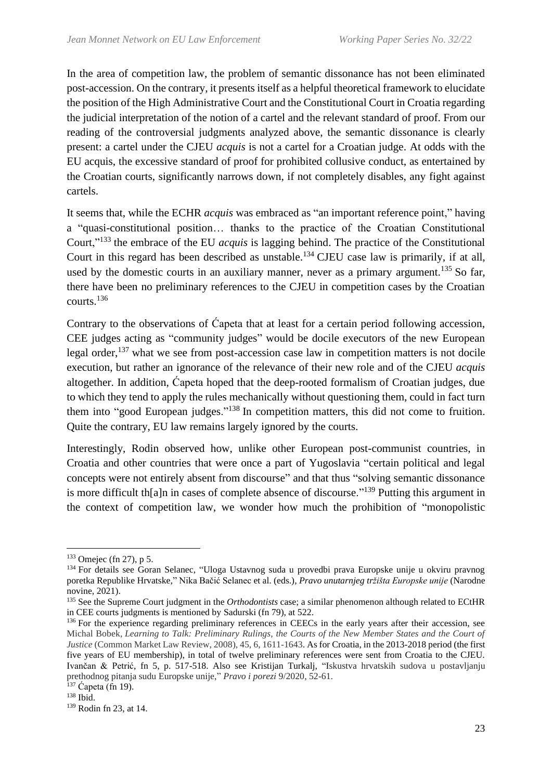In the area of competition law, the problem of semantic dissonance has not been eliminated post-accession. On the contrary, it presents itself as a helpful theoretical framework to elucidate the position of the High Administrative Court and the Constitutional Court in Croatia regarding the judicial interpretation of the notion of a cartel and the relevant standard of proof. From our reading of the controversial judgments analyzed above, the semantic dissonance is clearly present: a cartel under the CJEU *acquis* is not a cartel for a Croatian judge. At odds with the EU acquis, the excessive standard of proof for prohibited collusive conduct, as entertained by the Croatian courts, significantly narrows down, if not completely disables, any fight against cartels.

It seems that, while the ECHR *acquis* was embraced as "an important reference point," having a "quasi-constitutional position… thanks to the practice of the Croatian Constitutional Court,"<sup>133</sup> the embrace of the EU *acquis* is lagging behind. The practice of the Constitutional Court in this regard has been described as unstable.<sup>134</sup> CJEU case law is primarily, if at all, used by the domestic courts in an auxiliary manner, never as a primary argument.<sup>135</sup> So far, there have been no preliminary references to the CJEU in competition cases by the Croatian courts.<sup>136</sup>

Contrary to the observations of Ćapeta that at least for a certain period following accession, CEE judges acting as "community judges" would be docile executors of the new European legal order,<sup>137</sup> what we see from post-accession case law in competition matters is not docile execution, but rather an ignorance of the relevance of their new role and of the CJEU *acquis* altogether. In addition, Ćapeta hoped that the deep-rooted formalism of Croatian judges, due to which they tend to apply the rules mechanically without questioning them, could in fact turn them into "good European judges."<sup>138</sup> In competition matters, this did not come to fruition. Quite the contrary, EU law remains largely ignored by the courts.

Interestingly, Rodin observed how, unlike other European post-communist countries, in Croatia and other countries that were once a part of Yugoslavia "certain political and legal concepts were not entirely absent from discourse" and that thus "solving semantic dissonance is more difficult th[a]n in cases of complete absence of discourse."<sup>139</sup> Putting this argument in the context of competition law, we wonder how much the prohibition of "monopolistic

 $133$  Omejec (fn 27), p 5.

<sup>134</sup> For details see Goran Selanec, "Uloga Ustavnog suda u provedbi prava Europske unije u okviru pravnog poretka Republike Hrvatske," Nika Bačić Selanec et al. (eds.), *Pravo unutarnjeg tržišta Europske unije* (Narodne novine, 2021).

<sup>135</sup> See the Supreme Court judgment in the *Orthodontists* case; a similar phenomenon although related to ECtHR in CEE courts judgments is mentioned by Sadurski (fn 79), at 522.

<sup>&</sup>lt;sup>136</sup> For the experience regarding preliminary references in CEECs in the early years after their accession, see Michal Bobek, *Learning to Talk: Preliminary Rulings, the Courts of the New Member States and the Court of Justice* (Common Market Law Review, 2008), 45, 6, 1611-1643. As for Croatia, in the 2013-2018 period (the first five years of EU membership), in total of twelve preliminary references were sent from Croatia to the CJEU. Ivančan & Petrić, fn 5, p. 517-518. Also see Kristijan Turkalj, "Iskustva hrvatskih sudova u postavljanju prethodnog pitanja sudu Europske unije," *Pravo i porezi* 9/2020, 52-61.

 $137$  Capeta (fn 19).

 $138$  Ibid.

<sup>139</sup> Rodin fn 23, at 14.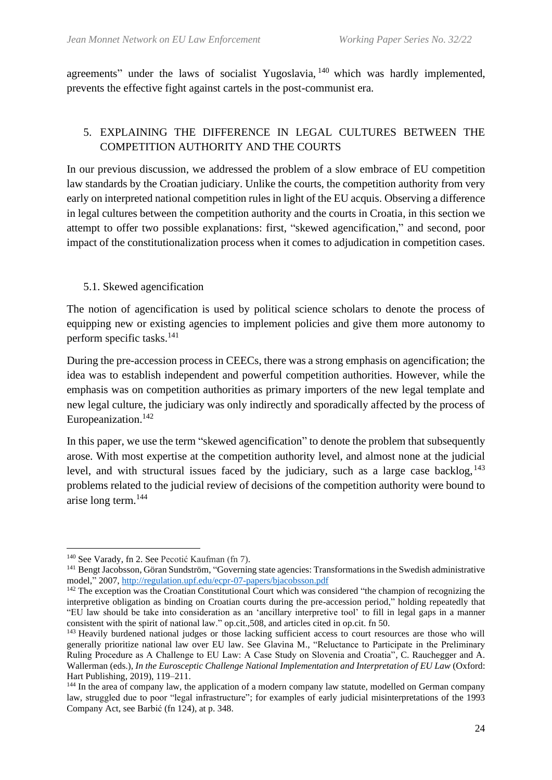agreements" under the laws of socialist Yugoslavia, <sup>140</sup> which was hardly implemented, prevents the effective fight against cartels in the post-communist era.

# 5. EXPLAINING THE DIFFERENCE IN LEGAL CULTURES BETWEEN THE COMPETITION AUTHORITY AND THE COURTS

In our previous discussion, we addressed the problem of a slow embrace of EU competition law standards by the Croatian judiciary. Unlike the courts, the competition authority from very early on interpreted national competition rules in light of the EU acquis. Observing a difference in legal cultures between the competition authority and the courts in Croatia, in this section we attempt to offer two possible explanations: first, "skewed agencification," and second, poor impact of the constitutionalization process when it comes to adjudication in competition cases.

# 5.1. Skewed agencification

The notion of agencification is used by political science scholars to denote the process of equipping new or existing agencies to implement policies and give them more autonomy to perform specific tasks. 141

During the pre-accession process in CEECs, there was a strong emphasis on agencification; the idea was to establish independent and powerful competition authorities. However, while the emphasis was on competition authorities as primary importers of the new legal template and new legal culture, the judiciary was only indirectly and sporadically affected by the process of Europeanization. 142

In this paper, we use the term "skewed agencification" to denote the problem that subsequently arose. With most expertise at the competition authority level, and almost none at the judicial level, and with structural issues faced by the judiciary, such as a large case backlog, <sup>143</sup> problems related to the judicial review of decisions of the competition authority were bound to arise long term. 144

<sup>140</sup> See Varady, fn 2. See Pecotić Kaufman (fn 7).

<sup>141</sup> Bengt Jacobsson, Göran Sundström, "Governing state agencies: Transformations in the Swedish administrative model," 2007,<http://regulation.upf.edu/ecpr-07-papers/bjacobsson.pdf>

<sup>&</sup>lt;sup>142</sup> The exception was the Croatian Constitutional Court which was considered "the champion of recognizing the interpretive obligation as binding on Croatian courts during the pre-accession period," holding repeatedly that "EU law should be take into consideration as an 'ancillary interpretive tool' to fill in legal gaps in a manner consistent with the spirit of national law." op.cit.,508, and articles cited in op.cit. fn 50.

<sup>&</sup>lt;sup>143</sup> Heavily burdened national judges or those lacking sufficient access to court resources are those who will generally prioritize national law over EU law. See Glavina M., "Reluctance to Participate in the Preliminary Ruling Procedure as A Challenge to EU Law: A Case Study on Slovenia and Croatia", C. Rauchegger and A. Wallerman (eds.), *In the Eurosceptic Challenge National Implementation and Interpretation of EU Law* (Oxford: Hart Publishing, 2019), 119–211.

<sup>&</sup>lt;sup>144</sup> In the area of company law, the application of a modern company law statute, modelled on German company law, struggled due to poor "legal infrastructure"; for examples of early judicial misinterpretations of the 1993 Company Act, see Barbić (fn 124), at p. 348.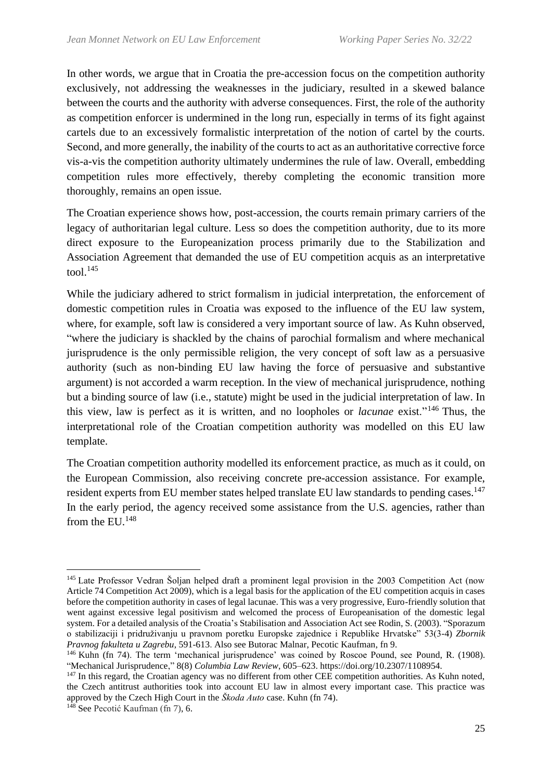In other words, we argue that in Croatia the pre-accession focus on the competition authority exclusively, not addressing the weaknesses in the judiciary, resulted in a skewed balance between the courts and the authority with adverse consequences. First, the role of the authority as competition enforcer is undermined in the long run, especially in terms of its fight against cartels due to an excessively formalistic interpretation of the notion of cartel by the courts. Second, and more generally, the inability of the courts to act as an authoritative corrective force vis-a-vis the competition authority ultimately undermines the rule of law. Overall, embedding competition rules more effectively, thereby completing the economic transition more thoroughly, remains an open issue.

The Croatian experience shows how, post-accession, the courts remain primary carriers of the legacy of authoritarian legal culture. Less so does the competition authority, due to its more direct exposure to the Europeanization process primarily due to the Stabilization and Association Agreement that demanded the use of EU competition acquis as an interpretative tool. $145$ 

While the judiciary adhered to strict formalism in judicial interpretation, the enforcement of domestic competition rules in Croatia was exposed to the influence of the EU law system, where, for example, soft law is considered a very important source of law. As Kuhn observed, "where the judiciary is shackled by the chains of parochial formalism and where mechanical jurisprudence is the only permissible religion, the very concept of soft law as a persuasive authority (such as non-binding EU law having the force of persuasive and substantive argument) is not accorded a warm reception. In the view of mechanical jurisprudence, nothing but a binding source of law (i.e., statute) might be used in the judicial interpretation of law. In this view, law is perfect as it is written, and no loopholes or *lacunae* exist."<sup>146</sup> Thus, the interpretational role of the Croatian competition authority was modelled on this EU law template.

The Croatian competition authority modelled its enforcement practice, as much as it could, on the European Commission, also receiving concrete pre-accession assistance. For example, resident experts from EU member states helped translate EU law standards to pending cases.<sup>147</sup> In the early period, the agency received some assistance from the U.S. agencies, rather than from the  $EU^{148}$ 

<sup>&</sup>lt;sup>145</sup> Late Professor Vedran Šoljan helped draft a prominent legal provision in the 2003 Competition Act (now Article 74 Competition Act 2009), which is a legal basis for the application of the EU competition acquis in cases before the competition authority in cases of legal lacunae. This was a very progressive, Euro-friendly solution that went against excessive legal positivism and welcomed the process of Europeanisation of the domestic legal system. For a detailed analysis of the Croatia's Stabilisation and Association Act see Rodin, S. (2003). "Sporazum o stabilizaciji i pridruživanju u pravnom poretku Europske zajednice i Republike Hrvatske" 53(3-4) *Zbornik Pravnog fakulteta u Zagrebu*, 591-613. Also see Butorac Malnar, Pecotic Kaufman, fn 9.

<sup>146</sup> Kuhn (fn 74). The term 'mechanical jurisprudence' was coined by Roscoe Pound, see Pound, R. (1908). "Mechanical Jurisprudence," 8(8) *Columbia Law Review*, 605–623. https://doi.org/10.2307/1108954.

<sup>&</sup>lt;sup>147</sup> In this regard, the Croatian agency was no different from other CEE competition authorities. As Kuhn noted, the Czech antitrust authorities took into account EU law in almost every important case. This practice was approved by the Czech High Court in the *Škoda Auto* case. Kuhn (fn 74).

<sup>&</sup>lt;sup>148</sup> See Pecotić Kaufman (fn 7), 6.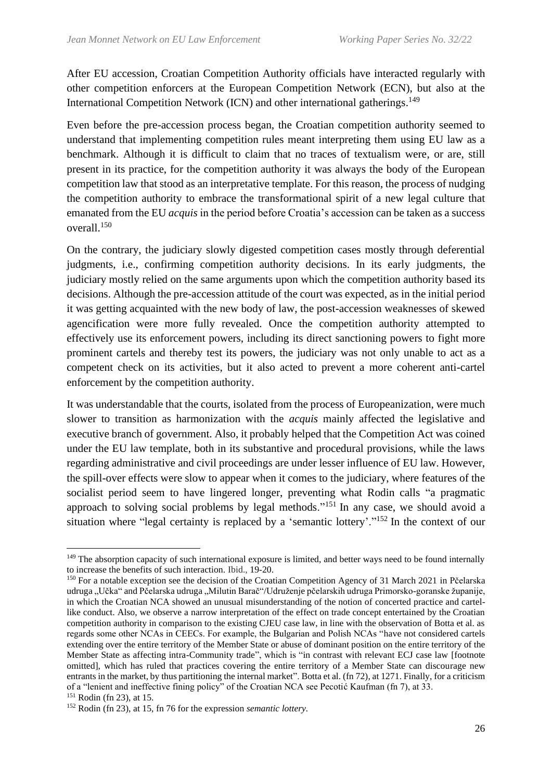After EU accession, Croatian Competition Authority officials have interacted regularly with other competition enforcers at the European Competition Network (ECN), but also at the International Competition Network (ICN) and other international gatherings.<sup>149</sup>

Even before the pre-accession process began, the Croatian competition authority seemed to understand that implementing competition rules meant interpreting them using EU law as a benchmark. Although it is difficult to claim that no traces of textualism were, or are, still present in its practice, for the competition authority it was always the body of the European competition law that stood as an interpretative template. For this reason, the process of nudging the competition authority to embrace the transformational spirit of a new legal culture that emanated from the EU *acquis* in the period before Croatia's accession can be taken as a success overall. 150

On the contrary, the judiciary slowly digested competition cases mostly through deferential judgments, i.e., confirming competition authority decisions. In its early judgments, the judiciary mostly relied on the same arguments upon which the competition authority based its decisions. Although the pre-accession attitude of the court was expected, as in the initial period it was getting acquainted with the new body of law, the post-accession weaknesses of skewed agencification were more fully revealed. Once the competition authority attempted to effectively use its enforcement powers, including its direct sanctioning powers to fight more prominent cartels and thereby test its powers, the judiciary was not only unable to act as a competent check on its activities, but it also acted to prevent a more coherent anti-cartel enforcement by the competition authority.

It was understandable that the courts, isolated from the process of Europeanization, were much slower to transition as harmonization with the *acquis* mainly affected the legislative and executive branch of government. Also, it probably helped that the Competition Act was coined under the EU law template, both in its substantive and procedural provisions, while the laws regarding administrative and civil proceedings are under lesser influence of EU law. However, the spill-over effects were slow to appear when it comes to the judiciary, where features of the socialist period seem to have lingered longer, preventing what Rodin calls "a pragmatic approach to solving social problems by legal methods."<sup>151</sup> In any case, we should avoid a situation where "legal certainty is replaced by a 'semantic lottery'."<sup>152</sup> In the context of our

<sup>&</sup>lt;sup>149</sup> The absorption capacity of such international exposure is limited, and better ways need to be found internally to increase the benefits of such interaction. Ibid., 19-20.

<sup>150</sup> For a notable exception see the decision of the Croatian Competition Agency of 31 March 2021 in Pčelarska udruga "Učka" and Pčelarska udruga "Milutin Barač"/Udruženje pčelarskih udruga Primorsko-goranske županije, in which the Croatian NCA showed an unusual misunderstanding of the notion of concerted practice and cartellike conduct. Also, we observe a narrow interpretation of the effect on trade concept entertained by the Croatian competition authority in comparison to the existing CJEU case law, in line with the observation of Botta et al. as regards some other NCAs in CEECs. For example, the Bulgarian and Polish NCAs "have not considered cartels extending over the entire territory of the Member State or abuse of dominant position on the entire territory of the Member State as affecting intra-Community trade", which is "in contrast with relevant ECJ case law [footnote omitted], which has ruled that practices covering the entire territory of a Member State can discourage new entrants in the market, by thus partitioning the internal market". Botta et al. (fn 72), at 1271. Finally, for a criticism of a "lenient and ineffective fining policy" of the Croatian NCA see Pecotić Kaufman (fn 7), at 33.

<sup>151</sup> Rodin (fn 23), at 15.

<sup>152</sup> Rodin (fn 23), at 15, fn 76 for the expression *semantic lottery.*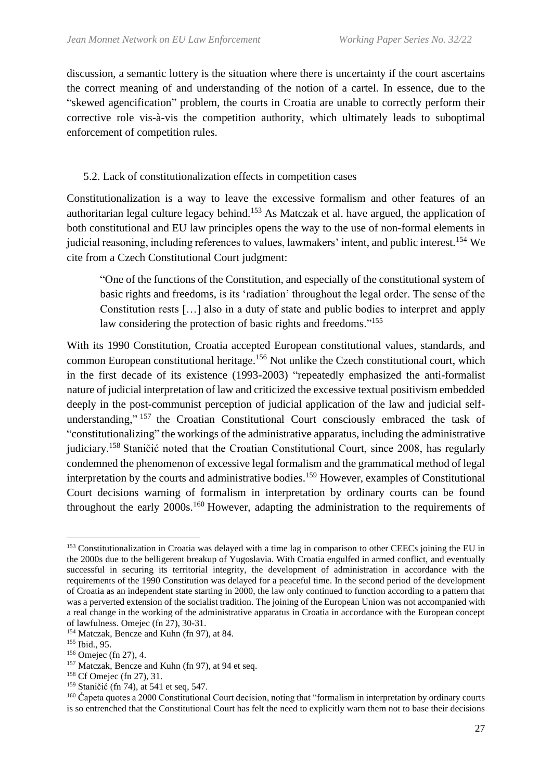discussion, a semantic lottery is the situation where there is uncertainty if the court ascertains the correct meaning of and understanding of the notion of a cartel. In essence, due to the "skewed agencification" problem, the courts in Croatia are unable to correctly perform their corrective role vis-à-vis the competition authority, which ultimately leads to suboptimal enforcement of competition rules.

### 5.2. Lack of constitutionalization effects in competition cases

Constitutionalization is a way to leave the excessive formalism and other features of an authoritarian legal culture legacy behind.<sup>153</sup> As Matczak et al. have argued, the application of both constitutional and EU law principles opens the way to the use of non-formal elements in judicial reasoning, including references to values, lawmakers' intent, and public interest.<sup>154</sup> We cite from a Czech Constitutional Court judgment:

"One of the functions of the Constitution, and especially of the constitutional system of basic rights and freedoms, is its 'radiation' throughout the legal order. The sense of the Constitution rests […] also in a duty of state and public bodies to interpret and apply law considering the protection of basic rights and freedoms."<sup>155</sup>

With its 1990 Constitution, Croatia accepted European constitutional values, standards, and common European constitutional heritage.<sup>156</sup> Not unlike the Czech constitutional court, which in the first decade of its existence (1993-2003) "repeatedly emphasized the anti-formalist nature of judicial interpretation of law and criticized the excessive textual positivism embedded deeply in the post-communist perception of judicial application of the law and judicial selfunderstanding," <sup>157</sup> the Croatian Constitutional Court consciously embraced the task of "constitutionalizing" the workings of the administrative apparatus, including the administrative judiciary.<sup>158</sup> Staničić noted that the Croatian Constitutional Court, since 2008, has regularly condemned the phenomenon of excessive legal formalism and the grammatical method of legal interpretation by the courts and administrative bodies.<sup>159</sup> However, examples of Constitutional Court decisions warning of formalism in interpretation by ordinary courts can be found throughout the early  $2000s$ <sup>160</sup> However, adapting the administration to the requirements of

<sup>&</sup>lt;sup>153</sup> Constitutionalization in Croatia was delayed with a time lag in comparison to other CEECs joining the EU in the 2000s due to the belligerent breakup of Yugoslavia. With Croatia engulfed in armed conflict, and eventually successful in securing its territorial integrity, the development of administration in accordance with the requirements of the 1990 Constitution was delayed for a peaceful time. In the second period of the development of Croatia as an independent state starting in 2000, the law only continued to function according to a pattern that was a perverted extension of the socialist tradition. The joining of the European Union was not accompanied with a real change in the working of the administrative apparatus in Croatia in accordance with the European concept of lawfulness. Omejec (fn 27), 30-31.

<sup>&</sup>lt;sup>154</sup> Matczak, Bencze and Kuhn (fn 97), at 84.

<sup>155</sup> Ibid., 95.

<sup>156</sup> Omejec (fn 27), 4.

<sup>&</sup>lt;sup>157</sup> Matczak, Bencze and Kuhn (fn 97), at 94 et seq.

<sup>158</sup> Cf Omejec (fn 27), 31.

<sup>159</sup> Staničić (fn 74), at 541 et seq, 547.

<sup>&</sup>lt;sup>160</sup> Capeta quotes a 2000 Constitutional Court decision, noting that "formalism in interpretation by ordinary courts is so entrenched that the Constitutional Court has felt the need to explicitly warn them not to base their decisions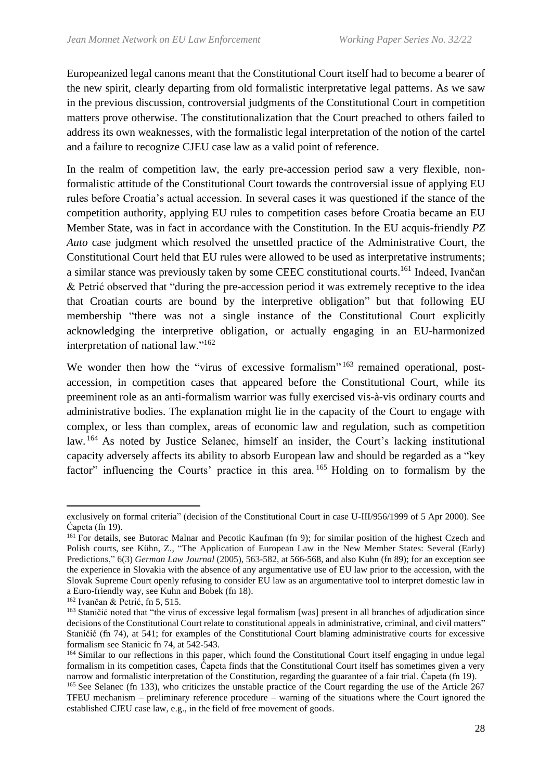Europeanized legal canons meant that the Constitutional Court itself had to become a bearer of the new spirit, clearly departing from old formalistic interpretative legal patterns. As we saw in the previous discussion, controversial judgments of the Constitutional Court in competition matters prove otherwise. The constitutionalization that the Court preached to others failed to address its own weaknesses, with the formalistic legal interpretation of the notion of the cartel and a failure to recognize CJEU case law as a valid point of reference.

In the realm of competition law, the early pre-accession period saw a very flexible, nonformalistic attitude of the Constitutional Court towards the controversial issue of applying EU rules before Croatia's actual accession. In several cases it was questioned if the stance of the competition authority, applying EU rules to competition cases before Croatia became an EU Member State, was in fact in accordance with the Constitution. In the EU acquis-friendly *PZ Auto* case judgment which resolved the unsettled practice of the Administrative Court, the Constitutional Court held that EU rules were allowed to be used as interpretative instruments; a similar stance was previously taken by some CEEC constitutional courts.<sup>161</sup> Indeed, Ivančan & Petrić observed that "during the pre-accession period it was extremely receptive to the idea that Croatian courts are bound by the interpretive obligation" but that following EU membership "there was not a single instance of the Constitutional Court explicitly acknowledging the interpretive obligation, or actually engaging in an EU-harmonized interpretation of national law."<sup>162</sup>

We wonder then how the "virus of excessive formalism" 163 remained operational, postaccession, in competition cases that appeared before the Constitutional Court, while its preeminent role as an anti-formalism warrior was fully exercised vis-à-vis ordinary courts and administrative bodies. The explanation might lie in the capacity of the Court to engage with complex, or less than complex, areas of economic law and regulation, such as competition law. <sup>164</sup> As noted by Justice Selanec, himself an insider, the Court's lacking institutional capacity adversely affects its ability to absorb European law and should be regarded as a "key factor" influencing the Courts' practice in this area.<sup>165</sup> Holding on to formalism by the

exclusively on formal criteria" (decision of the Constitutional Court in case U-III/956/1999 of 5 Apr 2000). See Ćapeta (fn 19).

<sup>&</sup>lt;sup>161</sup> For details, see Butorac Malnar and Pecotic Kaufman (fn 9); for similar position of the highest Czech and Polish courts, see Kühn, Z., "The Application of European Law in the New Member States: Several (Early) Predictions," 6(3) *German Law Journal* (2005), 563-582, at 566-568, and also Kuhn (fn 89); for an exception see the experience in Slovakia with the absence of any argumentative use of EU law prior to the accession, with the Slovak Supreme Court openly refusing to consider EU law as an argumentative tool to interpret domestic law in a Euro-friendly way, see Kuhn and Bobek (fn 18).

 $162$  Ivančan & Petrić, fn 5, 515.

<sup>&</sup>lt;sup>163</sup> Staničić noted that "the virus of excessive legal formalism [was] present in all branches of adjudication since decisions of the Constitutional Court relate to constitutional appeals in administrative, criminal, and civil matters" Staničić (fn 74), at 541; for examples of the Constitutional Court blaming administrative courts for excessive formalism see Stanicic fn 74, at 542-543.

<sup>&</sup>lt;sup>164</sup> Similar to our reflections in this paper, which found the Constitutional Court itself engaging in undue legal formalism in its competition cases, Ćapeta finds that the Constitutional Court itself has sometimes given a very narrow and formalistic interpretation of the Constitution, regarding the guarantee of a fair trial. Ćapeta (fn 19).

<sup>&</sup>lt;sup>165</sup> See Selanec (fn 133), who criticizes the unstable practice of the Court regarding the use of the Article 267 TFEU mechanism – preliminary reference procedure – warning of the situations where the Court ignored the established CJEU case law, e.g., in the field of free movement of goods.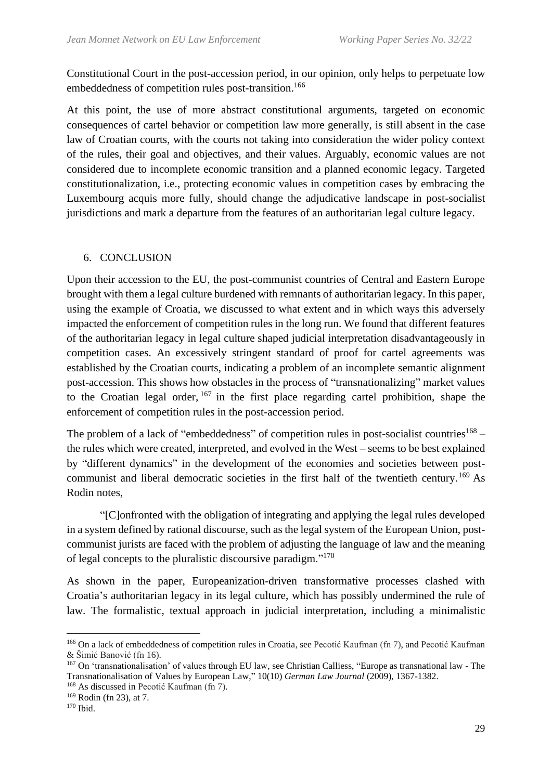Constitutional Court in the post-accession period, in our opinion, only helps to perpetuate low embeddedness of competition rules post-transition.<sup>166</sup>

At this point, the use of more abstract constitutional arguments, targeted on economic consequences of cartel behavior or competition law more generally, is still absent in the case law of Croatian courts, with the courts not taking into consideration the wider policy context of the rules, their goal and objectives, and their values. Arguably, economic values are not considered due to incomplete economic transition and a planned economic legacy. Targeted constitutionalization, i.e., protecting economic values in competition cases by embracing the Luxembourg acquis more fully, should change the adjudicative landscape in post-socialist jurisdictions and mark a departure from the features of an authoritarian legal culture legacy.

#### 6. CONCLUSION

Upon their accession to the EU, the post-communist countries of Central and Eastern Europe brought with them a legal culture burdened with remnants of authoritarian legacy. In this paper, using the example of Croatia, we discussed to what extent and in which ways this adversely impacted the enforcement of competition rules in the long run. We found that different features of the authoritarian legacy in legal culture shaped judicial interpretation disadvantageously in competition cases. An excessively stringent standard of proof for cartel agreements was established by the Croatian courts, indicating a problem of an incomplete semantic alignment post-accession. This shows how obstacles in the process of "transnationalizing" market values to the Croatian legal order,  $167$  in the first place regarding cartel prohibition, shape the enforcement of competition rules in the post-accession period.

The problem of a lack of "embeddedness" of competition rules in post-socialist countries<sup>168</sup> – the rules which were created, interpreted, and evolved in the West – seems to be best explained by "different dynamics" in the development of the economies and societies between postcommunist and liberal democratic societies in the first half of the twentieth century.<sup>169</sup> As Rodin notes,

"[C]onfronted with the obligation of integrating and applying the legal rules developed in a system defined by rational discourse, such as the legal system of the European Union, postcommunist jurists are faced with the problem of adjusting the language of law and the meaning of legal concepts to the pluralistic discoursive paradigm."<sup>170</sup>

As shown in the paper, Europeanization-driven transformative processes clashed with Croatia's authoritarian legacy in its legal culture, which has possibly undermined the rule of law. The formalistic, textual approach in judicial interpretation, including a minimalistic

<sup>166</sup> On a lack of embeddedness of competition rules in Croatia, see Pecotić Kaufman (fn 7), and Pecotić Kaufman & Šimić Banović (fn 16).

<sup>167</sup> On 'transnationalisation' of values through EU law, see Christian Calliess, "Europe as transnational law - The Transnationalisation of Values by European Law," 10(10) *German Law Journal* (2009), 1367-1382.

<sup>&</sup>lt;sup>168</sup> As discussed in Pecotić Kaufman (fn 7).

<sup>169</sup> Rodin (fn 23), at 7.

<sup>170</sup> Ibid.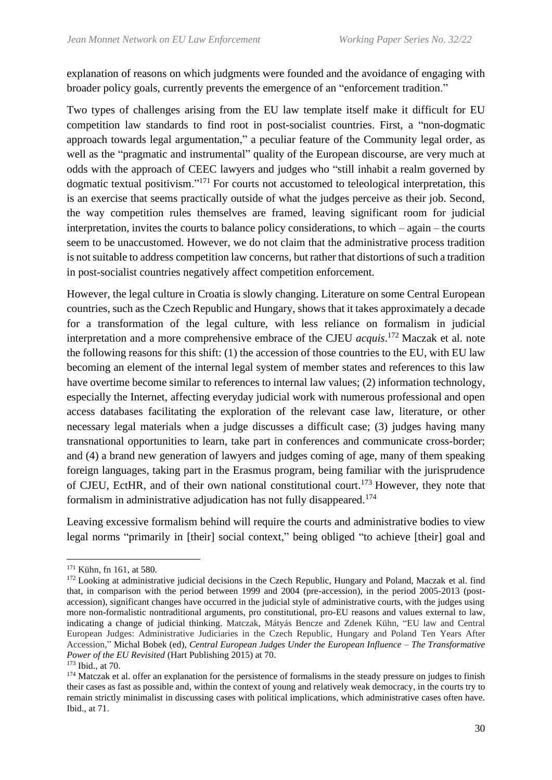explanation of reasons on which judgments were founded and the avoidance of engaging with broader policy goals, currently prevents the emergence of an "enforcement tradition."

Two types of challenges arising from the EU law template itself make it difficult for EU competition law standards to find root in post-socialist countries. First, a "non-dogmatic approach towards legal argumentation," a peculiar feature of the Community legal order, as well as the "pragmatic and instrumental" quality of the European discourse, are very much at odds with the approach of CEEC lawyers and judges who "still inhabit a realm governed by dogmatic textual positivism."<sup>171</sup> For courts not accustomed to teleological interpretation, this is an exercise that seems practically outside of what the judges perceive as their job. Second, the way competition rules themselves are framed, leaving significant room for judicial interpretation, invites the courts to balance policy considerations, to which – again – the courts seem to be unaccustomed. However, we do not claim that the administrative process tradition is not suitable to address competition law concerns, but rather that distortions of such a tradition in post-socialist countries negatively affect competition enforcement.

However, the legal culture in Croatia is slowly changing. Literature on some Central European countries, such as the Czech Republic and Hungary, shows that it takes approximately a decade for a transformation of the legal culture, with less reliance on formalism in judicial interpretation and a more comprehensive embrace of the CJEU *acquis*. <sup>172</sup> Maczak et al. note the following reasons for this shift: (1) the accession of those countries to the EU, with EU law becoming an element of the internal legal system of member states and references to this law have overtime become similar to references to internal law values; (2) information technology, especially the Internet, affecting everyday judicial work with numerous professional and open access databases facilitating the exploration of the relevant case law, literature, or other necessary legal materials when a judge discusses a difficult case; (3) judges having many transnational opportunities to learn, take part in conferences and communicate cross-border; and (4) a brand new generation of lawyers and judges coming of age, many of them speaking foreign languages, taking part in the Erasmus program, being familiar with the jurisprudence of CJEU, EctHR, and of their own national constitutional court. <sup>173</sup> However, they note that formalism in administrative adjudication has not fully disappeared. 174

Leaving excessive formalism behind will require the courts and administrative bodies to view legal norms "primarily in [their] social context," being obliged "to achieve [their] goal and

<sup>171</sup> Kühn, fn 161, at 580.

<sup>&</sup>lt;sup>172</sup> Looking at administrative judicial decisions in the Czech Republic, Hungary and Poland, Maczak et al. find that, in comparison with the period between 1999 and 2004 (pre-accession), in the period 2005-2013 (postaccession), significant changes have occurred in the judicial style of administrative courts, with the judges using more non-formalistic nontraditional arguments, pro constitutional, pro-EU reasons and values external to law, indicating a change of judicial thinking. Matczak, Mátyás Bencze and Zdenek Kühn, "EU law and Central European Judges: Administrative Judiciaries in the Czech Republic, Hungary and Poland Ten Years After Accession," Michal Bobek (ed), *Central European Judges Under the European Influence – The Transformative Power of the EU Revisited* (Hart Publishing 2015) at 70.

<sup>173</sup> Ibid., at 70.

<sup>&</sup>lt;sup>174</sup> Matczak et al. offer an explanation for the persistence of formalisms in the steady pressure on judges to finish their cases as fast as possible and, within the context of young and relatively weak democracy, in the courts try to remain strictly minimalist in discussing cases with political implications, which administrative cases often have. Ibid., at 71.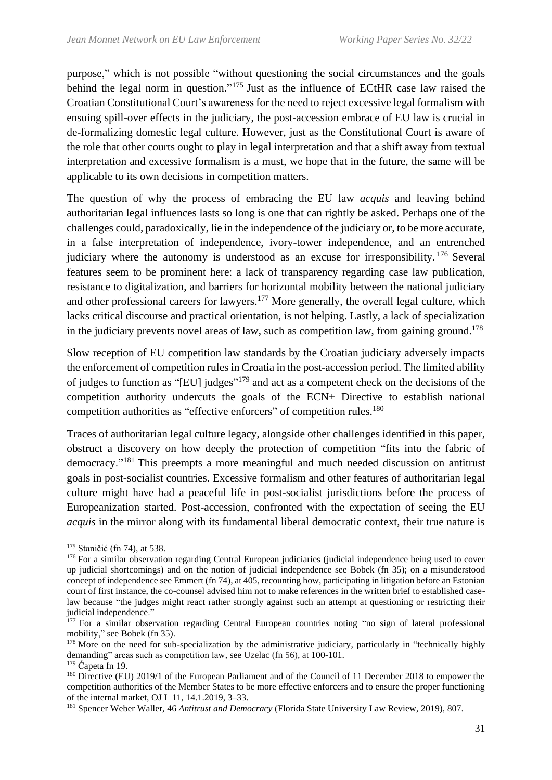purpose," which is not possible "without questioning the social circumstances and the goals behind the legal norm in question."<sup>175</sup> Just as the influence of ECtHR case law raised the Croatian Constitutional Court's awareness for the need to reject excessive legal formalism with ensuing spill-over effects in the judiciary, the post-accession embrace of EU law is crucial in de-formalizing domestic legal culture. However, just as the Constitutional Court is aware of the role that other courts ought to play in legal interpretation and that a shift away from textual interpretation and excessive formalism is a must, we hope that in the future, the same will be applicable to its own decisions in competition matters.

The question of why the process of embracing the EU law *acquis* and leaving behind authoritarian legal influences lasts so long is one that can rightly be asked. Perhaps one of the challenges could, paradoxically, lie in the independence of the judiciary or, to be more accurate, in a false interpretation of independence, ivory-tower independence, and an entrenched judiciary where the autonomy is understood as an excuse for irresponsibility. <sup>176</sup> Several features seem to be prominent here: a lack of transparency regarding case law publication, resistance to digitalization, and barriers for horizontal mobility between the national judiciary and other professional careers for lawyers.<sup>177</sup> More generally, the overall legal culture, which lacks critical discourse and practical orientation, is not helping. Lastly, a lack of specialization in the judiciary prevents novel areas of law, such as competition law, from gaining ground.<sup>178</sup>

Slow reception of EU competition law standards by the Croatian judiciary adversely impacts the enforcement of competition rules in Croatia in the post-accession period. The limited ability of judges to function as "[EU] judges"<sup>179</sup> and act as a competent check on the decisions of the competition authority undercuts the goals of the ECN+ Directive to establish national competition authorities as "effective enforcers" of competition rules.<sup>180</sup>

Traces of authoritarian legal culture legacy, alongside other challenges identified in this paper, obstruct a discovery on how deeply the protection of competition "fits into the fabric of democracy."<sup>181</sup> This preempts a more meaningful and much needed discussion on antitrust goals in post-socialist countries. Excessive formalism and other features of authoritarian legal culture might have had a peaceful life in post-socialist jurisdictions before the process of Europeanization started. Post-accession, confronted with the expectation of seeing the EU *acquis* in the mirror along with its fundamental liberal democratic context, their true nature is

<sup>181</sup> Spencer Weber Waller, 46 *Antitrust and Democracy* (Florida State University Law Review, 2019), 807.

<sup>175</sup> Staničić (fn 74), at 538.

<sup>&</sup>lt;sup>176</sup> For a similar observation regarding Central European judiciaries (judicial independence being used to cover up judicial shortcomings) and on the notion of judicial independence see Bobek (fn 35); on a misunderstood concept of independence see Emmert (fn 74), at 405, recounting how, participating in litigation before an Estonian court of first instance, the co-counsel advised him not to make references in the written brief to established caselaw because "the judges might react rather strongly against such an attempt at questioning or restricting their judicial independence."

 $177$  For a similar observation regarding Central European countries noting "no sign of lateral professional mobility," see Bobek (fn 35).

<sup>&</sup>lt;sup>178</sup> More on the need for sub-specialization by the administrative judiciary, particularly in "technically highly demanding" areas such as competition law, see Uzelac (fn 56), at 100-101.

 $179 \text{ Čaneta fm } 19.$ 

<sup>&</sup>lt;sup>180</sup> Directive (EU) 2019/1 of the European Parliament and of the Council of 11 December 2018 to empower the competition authorities of the Member States to be more effective enforcers and to ensure the proper functioning of the internal market, OJ L 11, 14.1.2019, 3–33.